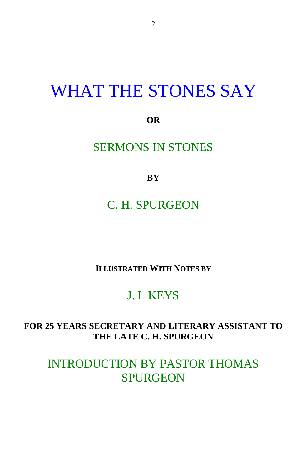## WHAT THE STONES SAY

**OR**

#### SERMONS IN STONES

**BY**

C. H. SPURGEON

**ILLUSTRATED WITH NOTES BY**

### J. L KEYS

#### **FOR 25 YEARS SECRETARY AND LITERARY ASSISTANT TO THE LATE C. H. SPURGEON**

INTRODUCTION BY PASTOR THOMAS **SPURGEON**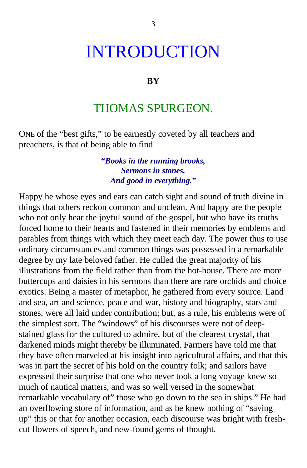## INTRODUCTION

#### **BY**

#### THOMAS SPURGEON.

ONE of the "best gifts," to be earnestly coveted by all teachers and preachers, is that of being able to find

> **"***Books in the running brooks, Sermons in stones, And good in everything.***"**

Happy he whose eyes and ears can catch sight and sound of truth divine in things that others reckon common and unclean. And happy are the people who not only hear the joyful sound of the gospel, but who have its truths forced home to their hearts and fastened in their memories by emblems and parables from things with which they meet each day. The power thus to use ordinary circumstances and common things was possessed in a remarkable degree by my late beloved father. He culled the great majority of his illustrations from the field rather than from the hot-house. There are more buttercups and daisies in his sermons than there are rare orchids and choice exotics. Being a master of metaphor, he gathered from every source. Land and sea, art and science, peace and war, history and biography, stars and stones, were all laid under contribution; but, as a rule, his emblems were of the simplest sort. The "windows" of his discourses were not of deepstained glass for the cultured to admire, but of the clearest crystal, that darkened minds might thereby be illuminated. Farmers have told me that they have often marveled at his insight into agricultural affairs, and that this was in part the secret of his hold on the country folk; and sailors have expressed their surprise that one who never took a long voyage knew so much of nautical matters, and was so well versed in the somewhat remarkable vocabulary of" those who go down to the sea in ships." He had an overflowing store of information, and as he knew nothing of "saving up" this or that for another occasion, each discourse was bright with freshcut flowers of speech, and new-found gems of thought.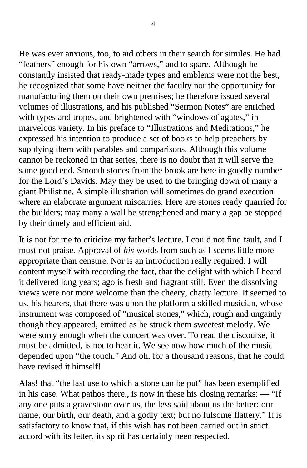He was ever anxious, too, to aid others in their search for similes. He had "feathers" enough for his own "arrows," and to spare. Although he constantly insisted that ready-made types and emblems were not the best, he recognized that some have neither the faculty nor the opportunity for manufacturing them on their own premises; he therefore issued several volumes of illustrations, and his published "Sermon Notes" are enriched with types and tropes, and brightened with "windows of agates," in marvelous variety. In his preface to "Illustrations and Meditations," he expressed his intention to produce a set of books to help preachers by supplying them with parables and comparisons. Although this volume cannot be reckoned in that series, there is no doubt that it will serve the same good end. Smooth stones from the brook are here in goodly number for the Lord's Davids. May they be used to the bringing down of many a giant Philistine. A simple illustration will sometimes do grand execution where an elaborate argument miscarries. Here are stones ready quarried for the builders; may many a wall be strengthened and many a gap be stopped by their timely and efficient aid.

It is not for me to criticize my father's lecture. I could not find fault, and I must not praise. Approval of *his* words from such as I seems little more appropriate than censure. Nor is an introduction really required. I will content myself with recording the fact, that the delight with which I heard it delivered long years; ago is fresh and fragrant still. Even the dissolving views were not more welcome than the cheery, chatty lecture. It seemed to us, his hearers, that there was upon the platform a skilled musician, whose instrument was composed of "musical stones," which, rough and ungainly though they appeared, emitted as he struck them sweetest melody. We were sorry enough when the concert was over. To read the discourse, it must be admitted, is not to hear it. We see now how much of the music depended upon "the touch." And oh, for a thousand reasons, that he could have revised it himself!

Alas! that "the last use to which a stone can be put" has been exemplified in his case. What pathos there., is now in these his closing remarks: — "If any one puts a gravestone over us, the less said about us the better: our name, our birth, our death, and a godly text; but no fulsome flattery." It is satisfactory to know that, if this wish has not been carried out in strict accord with its letter, its spirit has certainly been respected.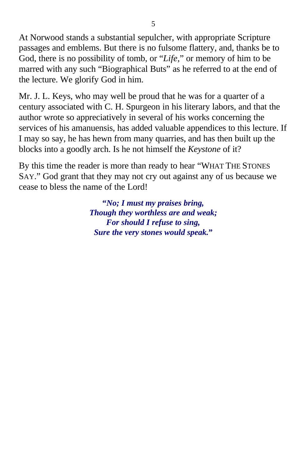At Norwood stands a substantial sepulcher, with appropriate Scripture passages and emblems. But there is no fulsome flattery, and, thanks be to God, there is no possibility of tomb, or "*Life,*" or memory of him to be marred with any such "Biographical Buts" as he referred to at the end of the lecture. We glorify God in him.

Mr. J. L. Keys, who may well be proud that he was for a quarter of a century associated with C. H. Spurgeon in his literary labors, and that the author wrote so appreciatively in several of his works concerning the services of his amanuensis, has added valuable appendices to this lecture. If I may so say, he has hewn from many quarries, and has then built up the blocks into a goodly arch. Is he not himself the *Keystone* of it?

By this time the reader is more than ready to hear "WHAT THE STONES SAY." God grant that they may not cry out against any of us because we cease to bless the name of the Lord!

> **"***No; I must my praises bring, Though they worthless are and weak; For should I refuse to sing, Sure the very stones would speak.***"**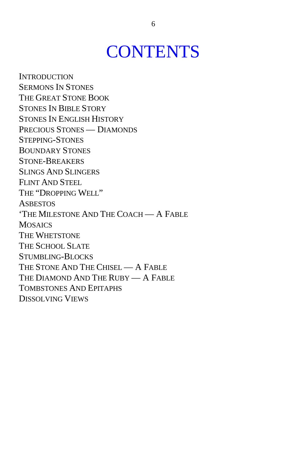## **CONTENTS**

**INTRODUCTION** SERMONS IN STONES THE GREAT STONE BOOK STONES IN BIBLE STORY STONES IN ENGLISH HISTORY PRECIOUS STONES — DIAMONDS STEPPING-STONES BOUNDARY STONES STONE-BREAKERS SLINGS AND SLINGERS FLINT AND STEEL THE "DROPPING WELL" **ASBESTOS** 'THE MILESTONE AND THE COACH — A FABLE **MOSAICS** THE WHETSTONE THE SCHOOL SLATE STUMBLING-BLOCKS THE STONE AND THE CHISEL - A FABLE THE DIAMOND AND THE RUBY — A FABLE TOMBSTONES AND EPITAPHS DISSOLVING VIEWS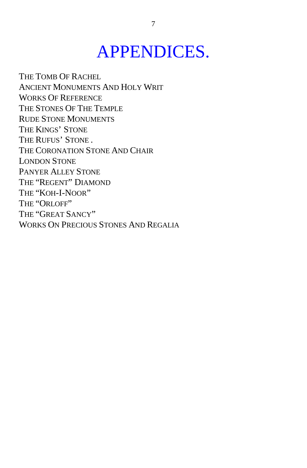# APPENDICES.

THE TOMB OF RACHEL ANCIENT MONUMENTS AND HOLY WRIT WORKS OF REFERENCE THE STONES OF THE TEMPLE RUDE STONE MONUMENTS THE KINGS' STONE THE RUFUS' STONE . THE CORONATION STONE AND CHAIR LONDON STONE PANYER ALLEY STONE THE "REGENT" DIAMOND THE "KOH-I-NOOR" THE "ORLOFF" THE "GREAT SANCY" WORKS ON PRECIOUS STONES AND REGALIA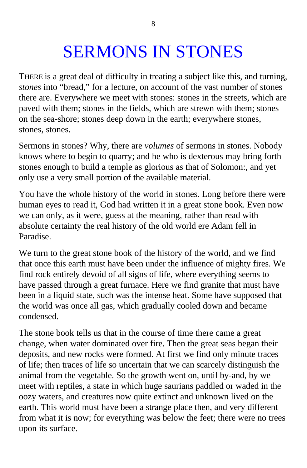# SERMONS IN STONES

THERE is a great deal of difficulty in treating a subject like this, and turning, *stones* into "bread," for a lecture, on account of the vast number of stones there are. Everywhere we meet with stones: stones in the streets, which are paved with them; stones in the fields, which are strewn with them; stones on the sea-shore; stones deep down in the earth; everywhere stones, stones, stones.

Sermons in stones? Why, there are *volumes* of sermons in stones. Nobody knows where to begin to quarry; and he who is dexterous may bring forth stones enough to build a temple as glorious as that of Solomon:, and yet only use a very small portion of the available material.

You have the whole history of the world in stones. Long before there were human eyes to read it, God had written it in a great stone book. Even now we can only, as it were, guess at the meaning, rather than read with absolute certainty the real history of the old world ere Adam fell in Paradise.

We turn to the great stone book of the history of the world, and we find that once this earth must have been under the influence of mighty fires. We find rock entirely devoid of all signs of life, where everything seems to have passed through a great furnace. Here we find granite that must have been in a liquid state, such was the intense heat. Some have supposed that the world was once all gas, which gradually cooled down and became condensed.

The stone book tells us that in the course of time there came a great change, when water dominated over fire. Then the great seas began their deposits, and new rocks were formed. At first we find only minute traces of life; then traces of life so uncertain that we can scarcely distinguish the animal from the vegetable. So the growth went on, until by-and, by we meet with reptiles, a state in which huge saurians paddled or waded in the oozy waters, and creatures now quite extinct and unknown lived on the earth. This world must have been a strange place then, and very different from what it is now; for everything was below the feet; there were no trees upon its surface.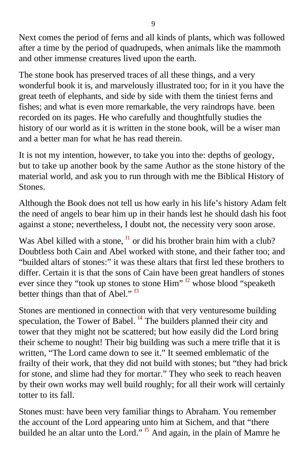<span id="page-7-0"></span>Next comes the period of ferns and all kinds of plants, which was followed after a time by the period of quadrupeds, when animals like the mammoth and other immense creatures lived upon the earth.

The stone book has preserved traces of all these things, and a very wonderful book it is, and marvelously illustrated too; for in it you have the great teeth of elephants, and side by side with them the tiniest ferns and fishes; and what is even more remarkable, the very raindrops have. been recorded on its pages. He who carefully and thoughtfully studies the history of our world as it is written in the stone book, will be a wiser man and a better man for what he has read therein.

It is not my intention, however, to take you into the: depths of geology, but to take up another book by the same Author as the stone history of the material world, and ask you to run through with me the Biblical History of Stones.

Although the Book does not tell us how early in his life's history Adam felt the need of angels to bear him up in their hands lest he should dash his foot against a stone; nevertheless, I doubt not, the necessity very soon arose.

Was Abel killed with a stone, <sup>[f1](#page-59-0)</sup> or did his brother brain him with a club? Doubtless both Cain and Abel worked with stone, and their father too; and "builded altars of stones:" it was these altars that first led these brothers to differ. Certain it is that the sons of Cain have been great handlers of stones ever since they "took up stones to stone Him" <sup>[f2](#page-59-0)</sup> whose blood "speaketh" better things than that of Abel."  $^{f3}$  $^{f3}$  $^{f3}$ 

Stones are mentioned in connection with that very venturesome building speculation, the Tower of Babel. <sup>[f4](#page-59-0)</sup> The builders planned their city and tower that they might not be scattered; but how easily did the Lord bring their scheme to nought! Their big building was such a mere trifle that it is written, "The Lord came down to see it." It seemed emblematic of the frailty of their work, that they did not build with stones; but "they had brick for stone, and slime had they for mortar." They who seek to reach heaven by their own works may well build roughly; for all their work will certainly totter to its fall.

Stones must: have been very familiar things to Abraham. You remember the account of the Lord appearing unto him at Sichem, and that "there builded he an altar unto the Lord." <sup>[f5](#page-59-0)</sup> And again, in the plain of Mamre he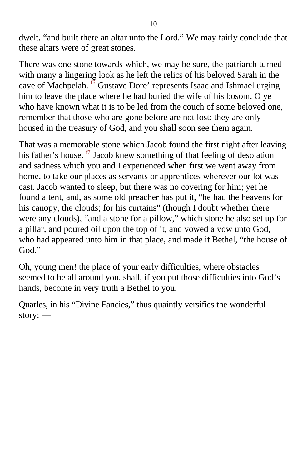<span id="page-8-0"></span>dwelt, "and built there an altar unto the Lord." We may fairly conclude that these altars were of great stones.

There was one stone towards which, we may be sure, the patriarch turned with many a lingering look as he left the relics of his beloved Sarah in the cave of Machpelah.  $^{6}$  Gustave Dore' represents Isaac and Ishmael urging him to leave the place where he had buried the wife of his bosom. O ye who have known what it is to be led from the couch of some beloved one, remember that those who are gone before are not lost: they are only housed in the treasury of God, and you shall soon see them again.

That was a memorable stone which Jacob found the first night after leaving his father's house.  $\frac{f}{f}$  Jacob knew something of that feeling of desolation and sadness which you and I experienced when first we went away from home, to take our places as servants or apprentices wherever our lot was cast. Jacob wanted to sleep, but there was no covering for him; yet he found a tent, and, as some old preacher has put it, "he had the heavens for his canopy, the clouds; for his curtains" (though I doubt whether there were any clouds), "and a stone for a pillow," which stone he also set up for a pillar, and poured oil upon the top of it, and vowed a vow unto God, who had appeared unto him in that place, and made it Bethel, "the house of God."

Oh, young men! the place of your early difficulties, where obstacles seemed to be all around you, shall, if you put those difficulties into God's hands, become in very truth a Bethel to you.

Quarles, in his "Divine Fancies," thus quaintly versifies the wonderful story: —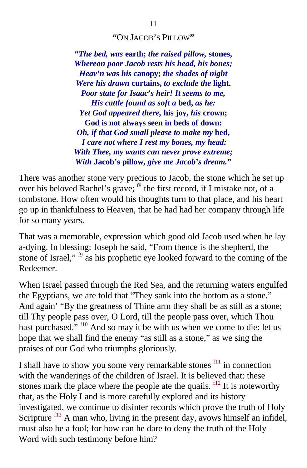#### **"**ON JACOB'S PILLOW**"**

<span id="page-9-0"></span>**"***The bed, was* **earth;** *the raised pillow,* **stones,** *Whereon poor Jacob rests his head, his bones; Heav***'***n was his* **canopy;** *the shades of night Were his drawn* **curtains,** *to exclude the* **light.** *Poor state for Isaac***'***s heir! It seems to me, His cattle found as soft a* **bed,** *as he: Yet God appeared there,* **his joy,** *his* **crown; God is not always seen in beds of down:** *Oh, if that God small please to make my* **bed,** *I care not where I rest my bones, my head: With Thee, my wants can never prove extreme; With* **Jacob's pillow,** *give me Jacob***'***s dream.***"**

There was another stone very precious to Jacob, the stone which he set up over his beloved Rachel's grave; <sup>[f8](#page-59-0)</sup> the first record, if I mistake not, of a tombstone. How often would his thoughts turn to that place, and his heart go up in thankfulness to Heaven, that he had had her company through life for so many years.

That was a memorable, expression which good old Jacob used when he lay a-dying. In blessing: Joseph he said, "From thence is the shepherd, the stone of Israel,"  $\frac{1}{19}$  as his prophetic eye looked forward to the coming of the Redeemer.

When Israel passed through the Red Sea, and the returning waters engulfed the Egyptians, we are told that "They sank into the bottom as a stone." And again' "By the greatness of Thine arm they shall be as still as a stone; till Thy people pass over, O Lord, till the people pass over, which Thou hast purchased." <sup>[f10](#page-59-0)</sup> And so may it be with us when we come to die: let us hope that we shall find the enemy "as still as a stone," as we sing the praises of our God who triumphs gloriously.

I shall have to show you some very remarkable stones  $f11$  in connection with the wanderings of the children of Israel. It is believed that: these stones mark the place where the people ate the quails.  $f12$  It is noteworthy that, as the Holy Land is more carefully explored and its history investigated, we continue to disinter records which prove the truth of Holy Scripture  $f13$  A man who, living in the present day, avows himself an infidel, must also be a fool; for how can he dare to deny the truth of the Holy Word with such testimony before him?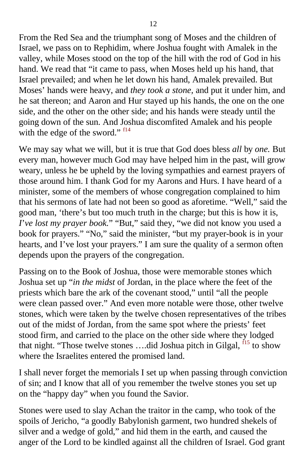<span id="page-10-0"></span>From the Red Sea and the triumphant song of Moses and the children of Israel, we pass on to Rephidim, where Joshua fought with Amalek in the valley, while Moses stood on the top of the hill with the rod of God in his hand. We read that "it came to pass, when Moses held up his hand, that Israel prevailed; and when he let down his hand, Amalek prevailed. But Moses' hands were heavy, and *they took a stone,* and put it under him, and he sat thereon; and Aaron and Hur stayed up his hands, the one on the one side, and the other on the other side; and his hands were steady until the going down of the sun. And Joshua discomfited Amalek and his people with the edge of the sword."  $f14$ 

We may say what we will, but it is true that God does bless *all* by *one.* But every man, however much God may have helped him in the past, will grow weary, unless he be upheld by the loving sympathies and earnest prayers of those around him. I thank God for my Aarons and Hurs. I have heard of a minister, some of the members of whose congregation complained to him that his sermons of late had not been so good as aforetime. "Well," said the good man, 'there's but too much truth in the charge; but this is how it is, *I*'*ve lost my prayer book.*" "But," said they, "we did not know you used a book for prayers." "No," said the minister, "but my prayer-book is in your hearts, and I've lost your prayers." I am sure the quality of a sermon often depends upon the prayers of the congregation.

Passing on to the Book of Joshua, those were memorable stones which Joshua set up "*in the midst* of Jordan, in the place where the feet of the priests which bare the ark of the covenant stood," until "all the people were clean passed over." And even more notable were those, other twelve stones, which were taken by the twelve chosen representatives of the tribes out of the midst of Jordan, from the same spot where the priests' feet stood firm, and carried to the place on the other side where they lodged that night. "Those twelve stones ....did Joshua pitch in Gilgal,  $^{15}$  to show where the Israelites entered the promised land.

I shall never forget the memorials I set up when passing through conviction of sin; and I know that all of you remember the twelve stones you set up on the "happy day" when you found the Savior.

Stones were used to slay Achan the traitor in the camp, who took of the spoils of Jericho, "a goodly Babylonish garment, two hundred shekels of silver and a wedge of gold," and hid them in the earth, and caused the anger of the Lord to be kindled against all the children of Israel. God grant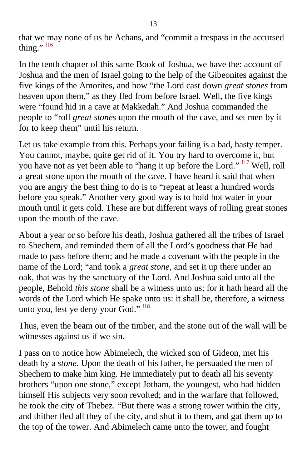<span id="page-11-0"></span>that we may none of us be Achans, and "commit a trespass in the accursed thing." [f16](#page-59-0)

In the tenth chapter of this same Book of Joshua, we have the: account of Joshua and the men of Israel going to the help of the Gibeonites against the five kings of the Amorites, and how "the Lord cast down *great stones* from heaven upon them," as they fled from before Israel. Well, the five kings were "found hid in a cave at Makkedah." And Joshua commanded the people to "roll *great stones* upon the mouth of the cave, and set men by it for to keep them" until his return.

Let us take example from this. Perhaps your failing is a bad, hasty temper. You cannot, maybe, quite get rid of it. You try hard to overcome it, but you have not as yet been able to "hang it up before the Lord." <sup>[f17](#page-59-0)</sup> Well, roll a great stone upon the mouth of the cave. I have heard it said that when you are angry the best thing to do is to "repeat at least a hundred words before you speak." Another very good way is to hold hot water in your mouth until it gets cold. These are but different ways of rolling great stones upon the mouth of the cave.

About a year or so before his death, Joshua gathered all the tribes of Israel to Shechem, and reminded them of all the Lord's goodness that He had made to pass before them; and he made a covenant with the people in the name of the Lord; "and took a *great stone,* and set it up there under an oak, that was by the sanctuary of the Lord. And Joshua said unto all the people, Behold *this stone* shall be a witness unto us; for it hath heard all the words of the Lord which He spake unto us: it shall be, therefore, a witness unto you, lest ye deny your God." <sup>[f18](#page-59-0)</sup>

Thus, even the beam out of the timber, and the stone out of the wall will be witnesses against us if we sin.

I pass on to notice how Abimelech, the wicked son of Gideon, met his death by a *stone.* Upon the death of his father, he persuaded the men of Shechem to make him king. He immediately put to death all his seventy brothers "upon one stone," except Jotham, the youngest, who had hidden himself His subjects very soon revolted; and in the warfare that followed, he took the city of Thebez. "But there was a strong tower within the city, and thither fled all they of the city, and shut it to them, and gat them up to the top of the tower. And Abimelech came unto the tower, and fought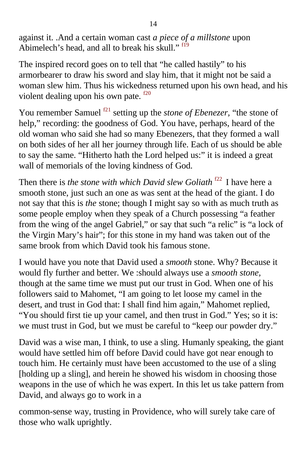<span id="page-12-0"></span>against it. .And a certain woman cast *a piece of a millstone* upon Abimelech's head, and all to break his skull." f<sup>19</sup>

The inspired record goes on to tell that "he called hastily" to his armorbearer to draw his sword and slay him, that it might not be said a woman slew him. Thus his wickedness returned upon his own head, and his violent dealing upon his own pate.  $f^{20}$ 

You remember Samuel <sup>[f21](#page-60-0)</sup> setting up the *stone of Ebenezer*, "the stone of help," recording: the goodness of God. You have, perhaps, heard of the old woman who said she had so many Ebenezers, that they formed a wall on both sides of her all her journey through life. Each of us should be able to say the same. "Hitherto hath the Lord helped us:" it is indeed a great wall of memorials of the loving kindness of God.

Then there is *the stone with which David slew Goliath* <sup>f22</sup> I have here a smooth stone, just such an one as was sent at the head of the giant. I do not say that this is *the* stone; though I might say so with as much truth as some people employ when they speak of a Church possessing "a feather from the wing of the angel Gabriel," or say that such "a relic" is "a lock of the Virgin Mary's hair"; for this stone in my hand was taken out of the same brook from which David took his famous stone.

I would have you note that David used a *smooth* stone. Why? Because it would fly further and better. We :should always use a *smooth stone,* though at the same time we must put our trust in God. When one of his followers said to Mahomet, "I am going to let loose my camel in the desert, and trust in God that: I shall find him again," Mahomet replied, "You should first tie up your camel, and then trust in God." Yes; so it is: we must trust in God, but we must be careful to "keep our powder dry."

David was a wise man, I think, to use a sling. Humanly speaking, the giant would have settled him off before David could have got near enough to touch him. He certainly must have been accustomed to the use of a sling [holding up a sling], and herein he showed his wisdom in choosing those weapons in the use of which he was expert. In this let us take pattern from David, and always go to work in a

common-sense way, trusting in Providence, who will surely take care of those who walk uprightly.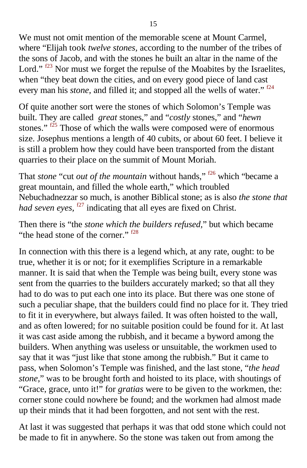<span id="page-13-0"></span>We must not omit mention of the memorable scene at Mount Carmel, where "Elijah took *twelve stones,* according to the number of the tribes of the sons of Jacob, and with the stones he built an altar in the name of the Lord."  $f^{23}$  Nor must we forget the repulse of the Moabites by the Israelites, when "they beat down the cities, and on every good piece of land cast every man his *stone*, and filled it; and stopped all the wells of water." <sup>[f24](#page-60-0)</sup>

Of quite another sort were the stones of which Solomon's Temple was built. They are called *great* stones," and "*costly* stones," and "*hewn* stones." f<sup>25</sup> Those of which the walls were composed were of enormous size. Josephus mentions a length of 40 cubits, or about 60 feet. I believe it is still a problem how they could have been transported from the distant quarries to their place on the summit of Mount Moriah.

That *stone* "cut *out of the mountain* without hands," <sup>[f26](#page-60-0)</sup> which "became a great mountain, and filled the whole earth," which troubled Nebuchadnezzar so much, is another Biblical stone; as is also *the stone that had seven eyes,* <sup>[f27](#page-60-0)</sup> indicating that all eyes are fixed on Christ.

Then there is "the *stone which the builders refused,*" but which became "the head stone of the corner." <sup>[f28](#page-60-0)</sup>

In connection with this there is a legend which, at any rate, ought: to be true, whether it is or not; for it exemplifies Scripture in a remarkable manner. It is said that when the Temple was being built, every stone was sent from the quarries to the builders accurately marked; so that all they had to do was to put each one into its place. But there was one stone of such a peculiar shape, that the builders could find no place for it. They tried to fit it in everywhere, but always failed. It was often hoisted to the wall, and as often lowered; for no suitable position could be found for it. At last it was cast aside among the rubbish, and it became a byword among the builders. When anything was useless or unsuitable, the workmen used to say that it was "just like that stone among the rubbish." But it came to pass, when Solomon's Temple was finished, and the last stone, "*the head stone,*" was to be brought forth and hoisted to its place, with shoutings of "Grace, grace, unto it!" for *gratias* were to be given to the workmen, the: corner stone could nowhere be found; and the workmen had almost made up their minds that it had been forgotten, and not sent with the rest.

At last it was suggested that perhaps it was that odd stone which could not be made to fit in anywhere. So the stone was taken out from among the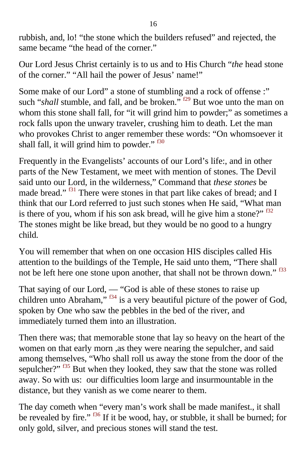<span id="page-14-0"></span>rubbish, and, lo! "the stone which the builders refused" and rejected, the same became "the head of the corner."

Our Lord Jesus Christ certainly is to us and to His Church "*the* head stone of the corner." "All hail the power of Jesus' name!"

Some make of our Lord" a stone of stumbling and a rock of offense :" such "*shall* stumble, and fall, and be broken." <sup>[f29](#page-60-0)</sup> But woe unto the man on whom this stone shall fall, for "it will grind him to powder;" as sometimes a rock falls upon the unwary traveler, crushing him to death. Let the man who provokes Christ to anger remember these words: "On whomsoever it shall fall, it will grind him to powder."  $\frac{130}{2}$ 

Frequently in the Evangelists' accounts of our Lord's life:, and in other parts of the New Testament, we meet with mention of stones. The Devil said unto our Lord, in the wilderness," Command that *these stones* be made bread." <sup>[f31](#page-60-0)</sup> There were stones in that part like cakes of bread; and I think that our Lord referred to just such stones when He said, "What man is there of you, whom if his son ask bread, will he give him a stone?"  $532$ The stones might be like bread, but they would be no good to a hungry child.

You will remember that when on one occasion HIS disciples called His attention to the buildings of the Temple, He said unto them, "There shall not be left here one stone upon another, that shall not be thrown down."  $f33$ 

That saying of our Lord, — "God is able of these stones to raise up children unto Abraham,"  $f^{34}$  is a very beautiful picture of the power of God, spoken by One who saw the pebbles in the bed of the river, and immediately turned them into an illustration.

Then there was; that memorable stone that lay so heavy on the heart of the women on that early morn ,as they were nearing the sepulcher, and said among themselves, "Who shall roll us away the stone from the door of the sepulcher?" <sup>[f35](#page-60-0)</sup> But when they looked, they saw that the stone was rolled away. So with us: our difficulties loom large and insurmountable in the distance, but they vanish as we come nearer to them.

The day cometh when "every man's work shall be made manifest., it shall be revealed by fire."  $\frac{136}{11}$  if it be wood, hay, or stubble, it shall be burned; for only gold, silver, and precious stones will stand the test.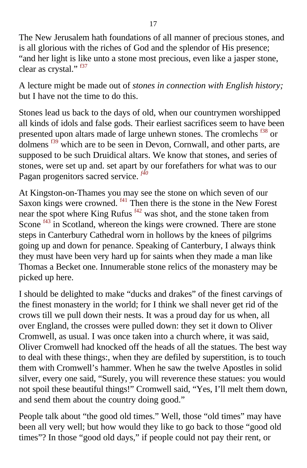<span id="page-15-0"></span>The New Jerusalem hath foundations of all manner of precious stones, and is all glorious with the riches of God and the splendor of His presence; "and her light is like unto a stone most precious, even like a jasper stone, clear as crystal."  $537$ 

A lecture might be made out of *stones in connection with English history;* but I have not the time to do this.

Stones lead us back to the days of old, when our countrymen worshipped all kinds of idols and false gods. Their earliest sacrifices seem to have been presented upon altars made of large unhewn stones. The cromlechs <sup>138</sup> or dolmens [f39](#page-60-0) which are to be seen in Devon, Cornwall, and other parts, are supposed to be such Druidical altars. We know that stones, and series of stones, were set up and. set apart by our forefathers for what was to our Pagan progenitors sacred service.<sup> $f40$ </sup>

At Kingston-on-Thames you may see the stone on which seven of our Saxon kings were crowned.  $f41$  Then there is the stone in the New Forest near the spot where King Rufus [f42](#page-60-0) was shot, and the stone taken from Scone <sup>[f43](#page-60-0)</sup> in Scotland, whereon the kings were crowned. There are stone steps in Canterbury Cathedral worn in hollows by the knees of pilgrims going up and down for penance. Speaking of Canterbury, I always think they must have been very hard up for saints when they made a man like Thomas a Becket one. Innumerable stone relics of the monastery may be picked up here.

I should be delighted to make "ducks and drakes" of the finest carvings of the finest monastery in the world; for I think we shall never get rid of the crows till we pull down their nests. It was a proud day for us when, all over England, the crosses were pulled down: they set it down to Oliver Cromwell, as usual. I was once taken into a church where, it was said, Oliver Cromwell had knocked off the heads of all the statues. The best way to deal with these things:, when they are defiled by superstition, is to touch them with Cromwell's hammer. When he saw the twelve Apostles in solid silver, every one said, "Surely, you will reverence these statues: you would not spoil these beautiful things!" Cromwell said, "Yes, I'll melt them down, and send them about the country doing good."

People talk about "the good old times." Well, those "old times" may have been all very well; but how would they like to go back to those "good old times"? In those "good old days," if people could not pay their rent, or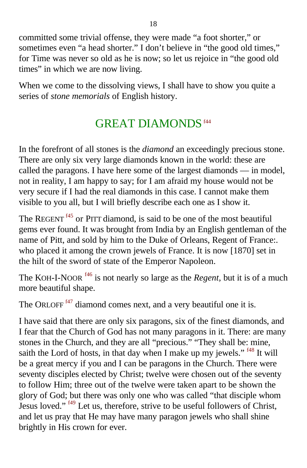<span id="page-16-0"></span>committed some trivial offense, they were made "a foot shorter," or sometimes even "a head shorter." I don't believe in "the good old times," for Time was never so old as he is now; so let us rejoice in "the good old times" in which we are now living.

When we come to the dissolving views, I shall have to show you quite a series of *stone memorials* of English history.

## GREAT DIAMONDS <sup>f44</sup>

In the forefront of all stones is the *diamond* an exceedingly precious stone. There are only six very large diamonds known in the world: these are called the paragons. I have here some of the largest diamonds — in model, not in reality, I am happy to say; for I am afraid my house would not be very secure if I had the real diamonds in this case. I cannot make them visible to you all, but I will briefly describe each one as I show it.

The REGENT<sup> $f45$ </sup> or PITT diamond, is said to be one of the most beautiful gems ever found. It was brought from India by an English gentleman of the name of Pitt, and sold by him to the Duke of Orleans, Regent of France:. who placed it among the crown jewels of France. It is now [1870] set in the hilt of the sword of state of the Emperor Napoleon.

The KOH-I-NOOR<sup> [f46](#page-61-0)</sup> is not nearly so large as the *Regent*, but it is of a much more beautiful shape.

The ORLOFF<sup> $f47$ </sup> diamond comes next, and a very beautiful one it is.

I have said that there are only six paragons, six of the finest diamonds, and I fear that the Church of God has not many paragons in it. There: are many stones in the Church, and they are all "precious." "They shall be: mine, saith the Lord of hosts, in that day when I make up my jewels."  $48$  It will be a great mercy if you and I can be paragons in the Church. There were seventy disciples elected by Christ; twelve were chosen out of the seventy to follow Him; three out of the twelve were taken apart to be shown the glory of God; but there was only one who was called "that disciple whom Jesus loved." [f49](#page-61-0) Let us, therefore, strive to be useful followers of Christ, and let us pray that He may have many paragon jewels who shall shine brightly in His crown for ever.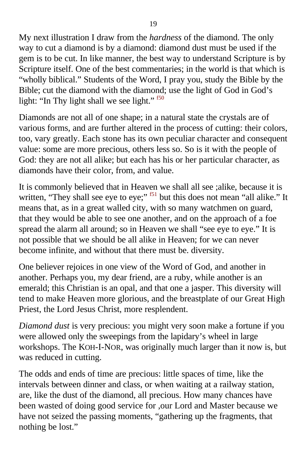<span id="page-17-0"></span>My next illustration I draw from the *hardness* of the diamond. The only way to cut a diamond is by a diamond: diamond dust must be used if the gem is to be cut. In like manner, the best way to understand Scripture is by Scripture itself. One of the best commentaries; in the world is that which is "wholly biblical." Students of the Word, I pray you, study the Bible by the Bible; cut the diamond with the diamond; use the light of God in God's light: "In Thy light shall we see light." <sup>[f50](#page-61-0)</sup>

Diamonds are not all of one shape; in a natural state the crystals are of various forms, and are further altered in the process of cutting: their colors, too, vary greatly. Each stone has its own peculiar character and consequent value: some are more precious, others less so. So is it with the people of God: they are not all alike; but each has his or her particular character, as diamonds have their color, from, and value.

It is commonly believed that in Heaven we shall all see ;alike, because it is written, "They shall see eye to eye;"  $<sup>51</sup>$  but this does not mean "all alike." It</sup> means that, as in a great walled city, with so many watchmen on guard, that they would be able to see one another, and on the approach of a foe spread the alarm all around; so in Heaven we shall "see eye to eye." It is not possible that we should be all alike in Heaven; for we can never become infinite, and without that there must be. diversity.

One believer rejoices in one view of the Word of God, and another in another. Perhaps you, my dear friend, are a ruby, while another is an emerald; this Christian is an opal, and that one a jasper. This diversity will tend to make Heaven more glorious, and the breastplate of our Great High Priest, the Lord Jesus Christ, more resplendent.

*Diamond dust* is very precious: you might very soon make a fortune if you were allowed only the sweepings from the lapidary's wheel in large workshops. The KOH-I-NOR, was originally much larger than it now is, but was reduced in cutting.

The odds and ends of time are precious: little spaces of time, like the intervals between dinner and class, or when waiting at a railway station, are, like the dust of the diamond, all precious. How many chances have been wasted of doing good service for ,our Lord and Master because we have not seized the passing moments, "gathering up the fragments, that nothing be lost."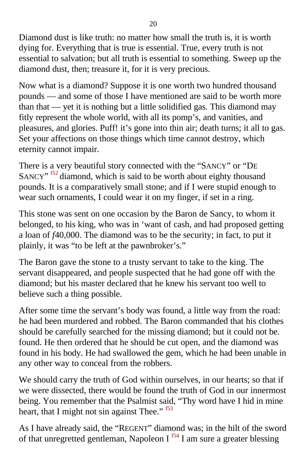<span id="page-18-0"></span>Diamond dust is like truth: no matter how small the truth is, it is worth dying for. Everything that is true is essential. True, every truth is not essential to salvation; but all truth is essential to something. Sweep up the diamond dust, then; treasure it, for it is very precious.

Now what is a diamond? Suppose it is one worth two hundred thousand pounds — and some of those I have mentioned are said to be worth more than that — yet it is nothing but a little solidified gas. This diamond may fitly represent the whole world, with all its pomp's, and vanities, and pleasures, and glories. Puff! it's gone into thin air; death turns; it all to gas. Set your affections on those things which time cannot destroy, which eternity cannot impair.

There is a very beautiful story connected with the "SANCY" or "DE SANCY"<sup>52</sup> diamond, which is said to be worth about eighty thousand pounds. It is a comparatively small stone; and if I were stupid enough to wear such ornaments, I could wear it on my finger, if set in a ring.

This stone was sent on one occasion by the Baron de Sancy, to whom it belonged, to his king, who was in 'want of cash, and had proposed getting a loan of *f*40,000. The diamond was to be the security; in fact, to put it plainly, it was "to be left at the pawnbroker's."

The Baron gave the stone to a trusty servant to take to the king. The servant disappeared, and people suspected that he had gone off with the diamond; but his master declared that he knew his servant too well to believe such a thing possible.

After some time the servant's body was found, a little way from the road: he had been murdered and robbed. The Baron commanded that his clothes should be carefully searched for the missing diamond; but it could not be. found. He then ordered that he should be cut open, and the diamond was found in his body. He had swallowed the gem, which he had been unable in any other way to conceal from the robbers.

We should carry the truth of God within ourselves, in our hearts; so that if we were dissected, there would be found the truth of God in our innermost being. You remember that the Psalmist said, "Thy word have I hid in mine heart, that I might not sin against Thee."  $53$ 

As I have already said, the "REGENT" diamond was; in the hilt of the sword of that unregretted gentleman, Napoleon  $I<sup>554</sup> I$  am sure a greater blessing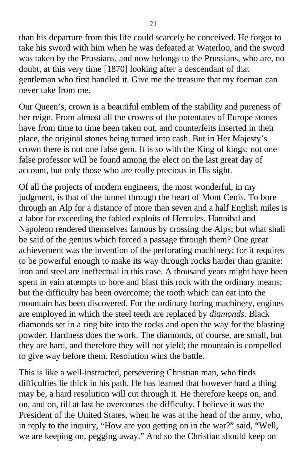than his departure from this life could scarcely be conceived. He forgot to take his sword with him when he was defeated at Waterloo, and the sword was taken by the Prussians, and now belongs to the Prussians, who are, no doubt, at this very time [1870] looking after a descendant of that gentleman who first handled it. Give me the treasure that my foeman can never take from me.

Our Queen's, crown is a beautiful emblem of the stability and pureness of her reign. From almost all the crowns of the potentates of Europe stones have from time to time been taken out, and counterfeits inserted in their place, the original stones being turned into cash. But in Her Majesty's crown there is not one false gem. It is so with the King of kings: not one false professor will be found among the elect on the last great day of account, but only those who are really precious in His sight.

Of all the projects of modern engineers, the most wonderful, in my judgment, is that of the tunnel through the heart of Mont Cenis. To bore through an Alp for a distance of more than seven and a half English miles is a labor far exceeding the fabled exploits of Hercules. Hannibal and Napoleon rendered themselves famous by crossing the Alps; but what shall be said of the genius which forced a passage through them? One great achievement was the invention of the perforating machinery; for it requires to be powerful enough to make its way through rocks harder than granite: iron and steel are ineffectual in this case. A thousand years might have been spent in vain attempts to bore and blast this rock with the ordinary means; but the difficulty has been overcome; the tooth which can eat into the mountain has been discovered. For the ordinary boring machinery, engines are employed in which the steel teeth are replaced by *diamonds.* Black diamonds set in a ring bite into the rocks and open the way for the blasting powder. Hardness does the work. The diamonds, of course, are small, but they are hard, and therefore they will not yield; the mountain is compelled to give way before them. Resolution wins the battle.

This is like a well-instructed, persevering Christian man, who finds difficulties lie thick in his path. He has learned that however hard a thing may be, a hard resolution will cut through it. He therefore keeps on, and on, and on, till at last he overcomes the difficulty. I believe it was the President of the United States, when he was at the head of the army, who, in reply to the inquiry, "How are you getting on in the war?" said, "Well, we are keeping on, pegging away." And so the Christian should keep on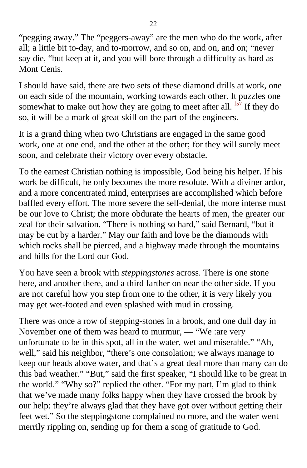<span id="page-20-0"></span>"pegging away." The "peggers-away" are the men who do the work, after all; a little bit to-day, and to-morrow, and so on, and on, and on; "never say die, "but keep at it, and you will bore through a difficulty as hard as Mont Cenis.

I should have said, there are two sets of these diamond drills at work, one on each side of the mountain, working towards each other. It puzzles one somewhat to make out how they are going to meet after all.  $<sup>57</sup>$  If they do</sup> so, it will be a mark of great skill on the part of the engineers.

It is a grand thing when two Christians are engaged in the same good work, one at one end, and the other at the other; for they will surely meet soon, and celebrate their victory over every obstacle.

To the earnest Christian nothing is impossible, God being his helper. If his work be difficult, he only becomes the more resolute. With a diviner ardor, and a more concentrated mind, enterprises are accomplished which before baffled every effort. The more severe the self-denial, the more intense must be our love to Christ; the more obdurate the hearts of men, the greater our zeal for their salvation. "There is nothing so hard," said Bernard, "but it may be cut by a harder." May our faith and love be the diamonds with which rocks shall be pierced, and a highway made through the mountains and hills for the Lord our God.

You have seen a brook with *steppingstones* across. There is one stone here, and another there, and a third farther on near the other side. If you are not careful how you step from one to the other, it is very likely you may get wet-footed and even splashed with mud in crossing.

There was once a row of stepping-stones in a brook, and one dull day in November one of them was heard to murmur, — "We :are very unfortunate to be in this spot, all in the water, wet and miserable." "Ah, well," said his neighbor, "there's one consolation; we always manage to keep our heads above water, and that's a great deal more than many can do this bad weather." "But," said the first speaker, "I should like to be great in the world." "Why so?" replied the other. "For my part, I'm glad to think that we've made many folks happy when they have crossed the brook by our help: they're always glad that they have got over without getting their feet wet." So the steppingstone complained no more, and the water went merrily rippling on, sending up for them a song of gratitude to God.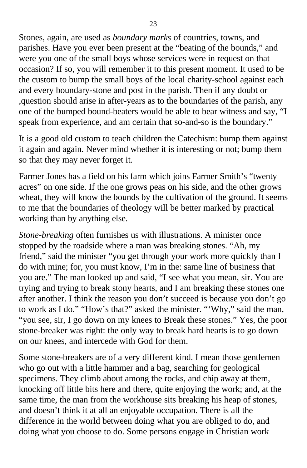Stones, again, are used as *boundary marks* of countries, towns, and parishes. Have you ever been present at the "beating of the bounds," and were you one of the small boys whose services were in request on that occasion? If so, you will remember it to this present moment. It used to be the custom to bump the small boys of the local charity-school against each and every boundary-stone and post in the parish. Then if any doubt or ,question should arise in after-years as to the boundaries of the parish, any one of the bumped bound-beaters would be able to bear witness and say, "I speak from experience, and am certain that so-and-so is the boundary."

It is a good old custom to teach children the Catechism: bump them against it again and again. Never mind whether it is interesting or not; bump them so that they may never forget it.

Farmer Jones has a field on his farm which joins Farmer Smith's "twenty acres" on one side. If the one grows peas on his side, and the other grows wheat, they will know the bounds by the cultivation of the ground. It seems to me that the boundaries of theology will be better marked by practical working than by anything else.

*Stone-breaking* often furnishes us with illustrations. A minister once stopped by the roadside where a man was breaking stones. "Ah, my friend," said the minister "you get through your work more quickly than I do with mine; for, you must know, I'm in the: same line of business that you are." The man looked up and said, "I see what you mean, sir. You are trying and trying to break stony hearts, and I am breaking these stones one after another. I think the reason you don't succeed is because you don't go to work as I do." "How's that?" asked the minister. "'Why," said the man, "you see, sir, I go down on my knees to Break these stones." Yes, the poor stone-breaker was right: the only way to break hard hearts is to go down on our knees, and intercede with God for them.

Some stone-breakers are of a very different kind. I mean those gentlemen who go out with a little hammer and a bag, searching for geological specimens. They climb about among the rocks, and chip away at them, knocking off little bits here and there, quite enjoying the work; and, at the same time, the man from the workhouse sits breaking his heap of stones, and doesn't think it at all an enjoyable occupation. There is all the difference in the world between doing what you are obliged to do, and doing what you choose to do. Some persons engage in Christian work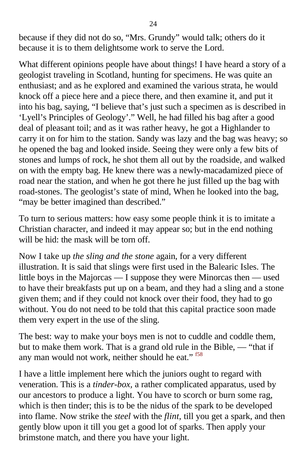<span id="page-22-0"></span>because if they did not do so, "Mrs. Grundy" would talk; others do it because it is to them delightsome work to serve the Lord.

What different opinions people have about things! I have heard a story of a geologist traveling in Scotland, hunting for specimens. He was quite an enthusiast; and as he explored and examined the various strata, he would knock off a piece here and a piece there, and then examine it, and put it into his bag, saying, "I believe that's just such a specimen as is described in 'Lyell's Principles of Geology'." Well, he had filled his bag after a good deal of pleasant toil; and as it was rather heavy, he got a Highlander to carry it on for him to the station. Sandy was lazy and the bag was heavy; so he opened the bag and looked inside. Seeing they were only a few bits of stones and lumps of rock, he shot them all out by the roadside, and walked on with the empty bag. He knew there was a newly-macadamized piece of road near the station, and when he got there he just filled up the bag with road-stones. The geologist's state of mind, When he looked into the bag, "may be better imagined than described."

To turn to serious matters: how easy some people think it is to imitate a Christian character, and indeed it may appear so; but in the end nothing will be hid: the mask will be torn off.

Now I take up *the sling and the stone* again, for a very different illustration. It is said that slings were first used in the Balearic Isles. The little boys in the Majorcas — I suppose they were Minorcas then — used to have their breakfasts put up on a beam, and they had a sling and a stone given them; and if they could not knock over their food, they had to go without. You do not need to be told that this capital practice soon made them very expert in the use of the sling.

The best: way to make your boys men is not to cuddle and coddle them, but to make them work. That is a grand old rule in the Bible, — "that if any man would not work, neither should he eat." <sup>[f58](#page-61-0)</sup>

I have a little implement here which the juniors ought to regard with veneration. This is a *tinder-box,* a rather complicated apparatus, used by our ancestors to produce a light. You have to scorch or burn some rag, which is then tinder; this is to be the nidus of the spark to be developed into flame. Now strike the *steel* with the *flint,* till you get a spark, and then gently blow upon it till you get a good lot of sparks. Then apply your brimstone match, and there you have your light.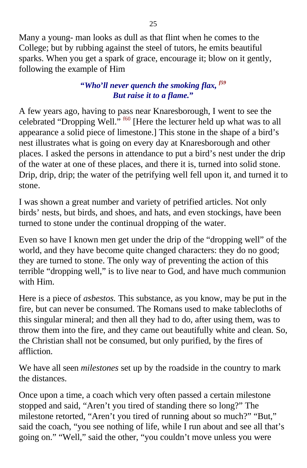<span id="page-23-0"></span>Many a young- man looks as dull as that flint when he comes to the College; but by rubbing against the steel of tutors, he emits beautiful sparks. When you get a spark of grace, encourage it; blow on it gently, following the example of Him

#### **"***Who***'***ll never quench the smoking flax, [f59](#page-61-0) But raise it to a flame.***"**

A few years ago, having to pass near Knaresborough, I went to see the celebrated "Dropping Well." <sup>[f60](#page-61-0)</sup> [Here the lecturer held up what was to all appearance a solid piece of limestone.] This stone in the shape of a bird's nest illustrates what is going on every day at Knaresborough and other places. I asked the persons in attendance to put a bird's nest under the drip of the water at one of these places, and there it is, turned into solid stone. Drip, drip, drip; the water of the petrifying well fell upon it, and turned it to stone.

I was shown a great number and variety of petrified articles. Not only birds' nests, but birds, and shoes, and hats, and even stockings, have been turned to stone under the continual dropping of the water.

Even so have I known men get under the drip of the "dropping well" of the world, and they have become quite changed characters: they do no good; they are turned to stone. The only way of preventing the action of this terrible "dropping well," is to live near to God, and have much communion with Him.

Here is a piece of *asbestos.* This substance, as you know, may be put in the fire, but can never be consumed. The Romans used to make tablecloths of this singular mineral; and then all they had to do, after using them, was to throw them into the fire, and they came out beautifully white and clean. So, the Christian shall not be consumed, but only purified, by the fires of affliction.

We have all seen *milestones* set up by the roadside in the country to mark the distances.

Once upon a time, a coach which very often passed a certain milestone stopped and said, "Aren't you tired of standing there so long?" The milestone retorted, "Aren't you tired of running about so much?" "But," said the coach, "you see nothing of life, while I run about and see all that's going on." "Well," said the other, "you couldn't move unless you were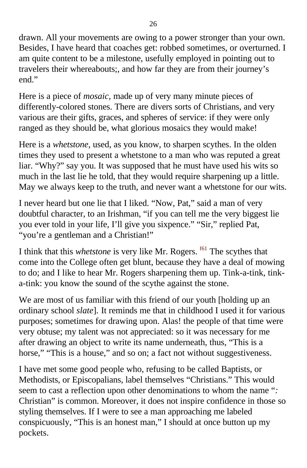<span id="page-24-0"></span>drawn. All your movements are owing to a power stronger than your own. Besides, I have heard that coaches get: robbed sometimes, or overturned. I am quite content to be a milestone, usefully employed in pointing out to travelers their whereabouts;, and how far they are from their journey's end."

Here is a piece of *mosaic,* made up of very many minute pieces of differently-colored stones. There are divers sorts of Christians, and very various are their gifts, graces, and spheres of service: if they were only ranged as they should be, what glorious mosaics they would make!

Here is a *whetstone,* used, as you know, to sharpen scythes. In the olden times they used to present a whetstone to a man who was reputed a great liar. "Why?" say you. It was supposed that he must have used his wits so much in the last lie he told, that they would require sharpening up a little. May we always keep to the truth, and never want a whetstone for our wits.

I never heard but one lie that I liked. "Now, Pat," said a man of very doubtful character, to an Irishman, "if you can tell me the very biggest lie you ever told in your life, I'll give you sixpence." "Sir," replied Pat, "you're a gentleman and a Christian!"

I think that this *whetstone* is very like Mr. Rogers. <sup>[f61](#page-61-0)</sup> The scythes that come into the College often get blunt, because they have a deal of mowing to do; and I like to hear Mr. Rogers sharpening them up. Tink-a-tink, tinka-tink: you know the sound of the scythe against the stone.

We are most of us familiar with this friend of our youth [holding up an ordinary school *slate*]*.* It reminds me that in childhood I used it for various purposes; sometimes for drawing upon. Alas! the people of that time were very obtuse; my talent was not appreciated: so it was necessary for me after drawing an object to write its name underneath, thus, "This is a horse," "This is a house," and so on; a fact not without suggestiveness.

I have met some good people who, refusing to be called Baptists, or Methodists, or Episcopalians, label themselves "Christians." This would seem to cast a reflection upon other denominations to whom the name "*:* Christian" is common. Moreover, it does not inspire confidence in those so styling themselves. If I were to see a man approaching me labeled conspicuously, "This is an honest man," I should at once button up my pockets.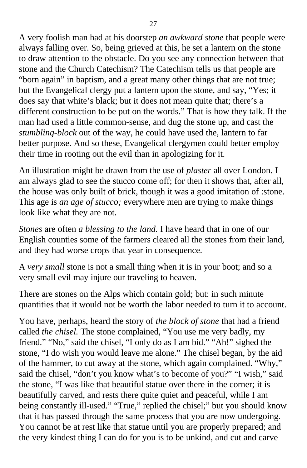A very foolish man had at his doorstep *an awkward stone* that people were always falling over. So, being grieved at this, he set a lantern on the stone to draw attention to the obstacle. Do you see any connection between that stone and the Church Catechism? The Catechism tells us that people are "born again" in baptism, and a great many other things that are not true; but the Evangelical clergy put a lantern upon the stone, and say, "Yes; it does say that white's black; but it does not mean quite that; there's a different construction to be put on the words." That is how they talk. If the man had used a little common-sense, and dug the stone up, and cast the *stumbling-block* out of the way, he could have used the, lantern to far better purpose. And so these, Evangelical clergymen could better employ their time in rooting out the evil than in apologizing for it.

An illustration might be drawn from the use of *plaster* all over London. I am always glad to see the stucco come off; for then it shows that, after all, the house was only built of brick, though it was a good imitation of :stone. This age is *an age of stucco;* everywhere men are trying to make things look like what they are not.

*Stones* are often *a blessing to the land.* I have heard that in one of our English counties some of the farmers cleared all the stones from their land, and they had worse crops that year in consequence.

A *very small* stone is not a small thing when it is in your boot; and so a very small evil may injure our traveling to heaven.

There are stones on the Alps which contain gold; but: in such minute quantities that it would not be worth the labor needed to turn it to account.

You have, perhaps, heard the story of *the block of stone* that had a friend called *the chisel.* The stone complained, "You use me very badly, my friend." "No," said the chisel, "I only do as I am bid." "Ah!" sighed the stone, "I do wish you would leave me alone." The chisel began, by the aid of the hammer, to cut away at the stone, which again complained. "Why," said the chisel, "don't you know what's to become of you?" "I wish," said the stone, "I was like that beautiful statue over there in the corner; it is beautifully carved, and rests there quite quiet and peaceful, while I am being constantly ill-used." "True," replied the chisel;" but you should know that it has passed through the same process that you are now undergoing. You cannot be at rest like that statue until you are properly prepared; and the very kindest thing I can do for you is to be unkind, and cut and carve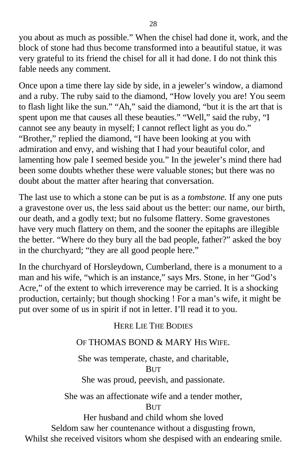you about as much as possible." When the chisel had done it, work, and the block of stone had thus become transformed into a beautiful statue, it was very grateful to its friend the chisel for all it had done. I do not think this fable needs any comment.

Once upon a time there lay side by side, in a jeweler's window, a diamond and a ruby. The ruby said to the diamond, "How lovely you are! You seem to flash light like the sun." "Ah," said the diamond, "but it is the art that is spent upon me that causes all these beauties." "Well," said the ruby, "I cannot see any beauty in myself; I cannot reflect light as you do." "Brother," replied the diamond, "I have been looking at you with admiration and envy, and wishing that I had your beautiful color, and lamenting how pale I seemed beside you." In the jeweler's mind there had been some doubts whether these were valuable stones; but there was no doubt about the matter after hearing that conversation.

The last use to which a stone can be put is as a *tombstone.* If any one puts a gravestone over us, the less said about us the better: our name, our birth, our death, and a godly text; but no fulsome flattery. Some gravestones have very much flattery on them, and the sooner the epitaphs are illegible the better. "Where do they bury all the bad people, father?" asked the boy in the churchyard; "they are all good people here."

In the churchyard of Horsleydown, Cumberland, there is a monument to a man and his wife, "which is an instance," says Mrs. Stone, in her "God's Acre," of the extent to which irreverence may be carried. It is a shocking production, certainly; but though shocking ! For a man's wife, it might be put over some of us in spirit if not in letter. I'll read it to you.

#### HERE LIE THE BODIES

#### OF THOMAS BOND & MARY HIS WIFE.

She was temperate, chaste, and charitable, **BUT** She was proud, peevish, and passionate.

She was an affectionate wife and a tender mother,

**BUT** 

Her husband and child whom she loved

Seldom saw her countenance without a disgusting frown,

Whilst she received visitors whom she despised with an endearing smile.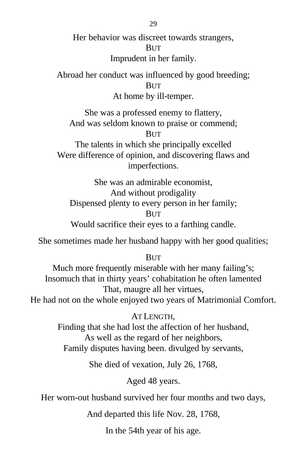Her behavior was discreet towards strangers,

#### BUT

Imprudent in her family.

Abroad her conduct was influenced by good breeding; **BUT** 

At home by ill-temper.

She was a professed enemy to flattery, And was seldom known to praise or commend;

**BUT** 

The talents in which she principally excelled Were difference of opinion, and discovering flaws and imperfections.

She was an admirable economist, And without prodigality Dispensed plenty to every person in her family; **BUT** Would sacrifice their eyes to a farthing candle.

She sometimes made her husband happy with her good qualities;

BUT

Much more frequently miserable with her many failing's; Insomuch that in thirty years' cohabitation he often lamented That, maugre all her virtues, He had not on the whole enjoyed two years of Matrimonial Comfort.

> AT LENGTH, Finding that she had lost the affection of her husband, As well as the regard of her neighbors, Family disputes having been. divulged by servants,

> > She died of vexation, July 26, 1768,

Aged 48 years.

Her worn-out husband survived her four months and two days,

And departed this life Nov. 28, 1768,

In the 54th year of his age.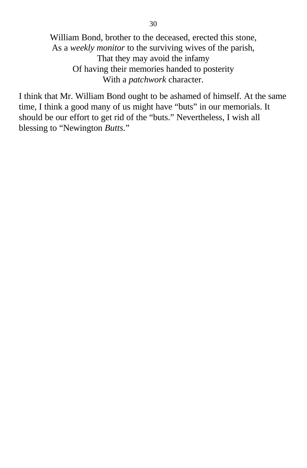William Bond, brother to the deceased, erected this stone, As a *weekly monitor* to the surviving wives of the parish, That they may avoid the infamy Of having their memories handed to posterity With a *patchwork* character.

I think that Mr. William Bond ought to be ashamed of himself. At the same time, I think a good many of us might have "buts" in our memorials. It should be our effort to get rid of the "buts." Nevertheless, I wish all blessing to "Newington *Butts.*"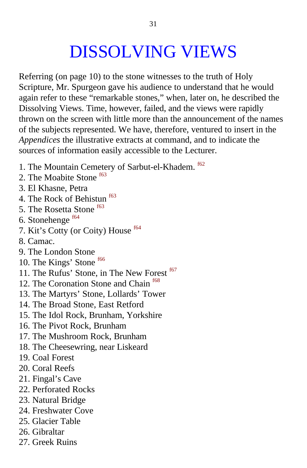# DISSOLVING VIEWS

<span id="page-29-0"></span>Referring (on page 10) to the stone witnesses to the truth of Holy Scripture, Mr. Spurgeon gave his audience to understand that he would again refer to these "remarkable stones," when, later on, he described the Dissolving Views. Time, however, failed, and the views were rapidly thrown on the screen with little more than the announcement of the names of the subjects represented. We have, therefore, ventured to insert in the *Appendices* the illustrative extracts at command, and to indicate the sources of information easily accessible to the Lecturer.

- 1. The Mountain Cemetery of Sarbut-el-Khadem. [f62](#page-61-0)
- 2. The Moabite Stone [f63](#page-62-0)
- 3. El Khasne, Petra
- 4. The Rock of Behistun  $^{63}$
- 5. The Rosetta Stone  $63$
- 6. Stonehenge [f64](#page-62-0)
- 7. Kit's Cotty (or Coity) House [f64](#page-62-0)
- 8. Camac.
- 9. The London Stone
- 10. The Kings' Stone <sup>[f66](#page-62-0)</sup>
- 11. The Rufus' Stone, in The New Forest <sup>[f67](#page-62-0)</sup>
- 12. The Coronation Stone and Chain <sup>[f68](#page-62-0)</sup>
- 13. The Martyrs' Stone, Lollards' Tower
- 14. The Broad Stone, East Retford
- 15. The Idol Rock, Brunham, Yorkshire
- 16. The Pivot Rock, Brunham
- 17. The Mushroom Rock, Brunham
- 18. The Cheesewring, near Liskeard
- 19. Coal Forest
- 20. Coral Reefs
- 21. Fingal's Cave
- 22. Perforated Rocks
- 23. Natural Bridge
- 24. Freshwater Cove
- 25. Glacier Table
- 26. Gibraltar
- 27. Greek Ruins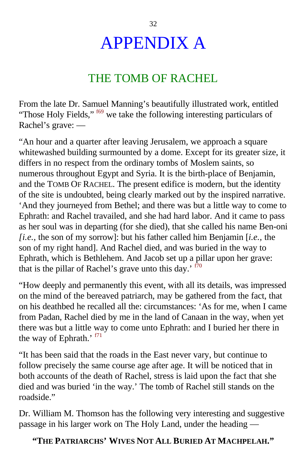# APPENDIX A

## THE TOMB OF RACHEL

<span id="page-30-0"></span>From the late Dr. Samuel Manning's beautifully illustrated work, entitled "Those Holy Fields," <sup>[f69](#page-62-0)</sup> we take the following interesting particulars of Rachel's grave: —

"An hour and a quarter after leaving Jerusalem, we approach a square whitewashed building surmounted by a dome. Except for its greater size, it differs in no respect from the ordinary tombs of Moslem saints, so numerous throughout Egypt and Syria. It is the birth-place of Benjamin, and the TOMB OF RACHEL. The present edifice is modern, but the identity of the site is undoubted, being clearly marked out by the inspired narrative. 'And they journeyed from Bethel; and there was but a little way to come to Ephrath: and Rachel travailed, and she had hard labor. And it came to pass as her soul was in departing (for she died), that she called his name Ben-oni *[i.e.,* the son of my sorrow]: but his father called him Benjamin [*i.e.,* the son of my right hand]. And Rachel died, and was buried in the way to Ephrath, which is Bethlehem. And Jacob set up a pillar upon her grave: that is the pillar of Rachel's grave unto this day.<sup> $\frac{170}{0}$ </sup>

"How deeply and permanently this event, with all its details, was impressed on the mind of the bereaved patriarch, may be gathered from the fact, that on his deathbed he recalled all the: circumstances: 'As for me, when I came from Padan, Rachel died by me in the land of Canaan in the way, when yet there was but a little way to come unto Ephrath: and I buried her there in the way of Ephrath.'  $f71$ 

"It has been said that the roads in the East never vary, but continue to follow precisely the same course age after age. It will be noticed that in both accounts of the death of Rachel, stress is laid upon the fact that she died and was buried 'in the way.' The tomb of Rachel still stands on the roadside."

Dr. William M. Thomson has the following very interesting and suggestive passage in his larger work on The Holy Land, under the heading —

#### **"THE PATRIARCHS' WIVES NOT ALL BURIED AT MACHPELAH."**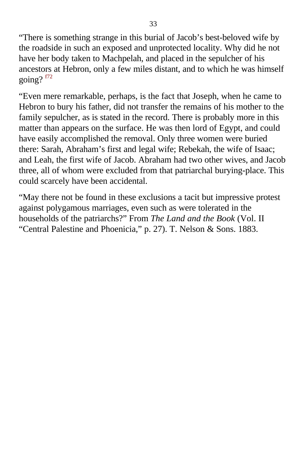<span id="page-31-0"></span>"There is something strange in this burial of Jacob's best-beloved wife by the roadside in such an exposed and unprotected locality. Why did he not have her body taken to Machpelah, and placed in the sepulcher of his ancestors at Hebron, only a few miles distant, and to which he was himself going?  $f72$ 

"Even mere remarkable, perhaps, is the fact that Joseph, when he came to Hebron to bury his father, did not transfer the remains of his mother to the family sepulcher, as is stated in the record. There is probably more in this matter than appears on the surface. He was then lord of Egypt, and could have easily accomplished the removal. Only three women were buried there: Sarah, Abraham's first and legal wife; Rebekah, the wife of Isaac; and Leah, the first wife of Jacob. Abraham had two other wives, and Jacob three, all of whom were excluded from that patriarchal burying-place. This could scarcely have been accidental.

"May there not be found in these exclusions a tacit but impressive protest against polygamous marriages, even such as were tolerated in the households of the patriarchs?" From *The Land and the Book* (Vol. II "Central Palestine and Phoenicia," p. 27). T. Nelson & Sons. 1883.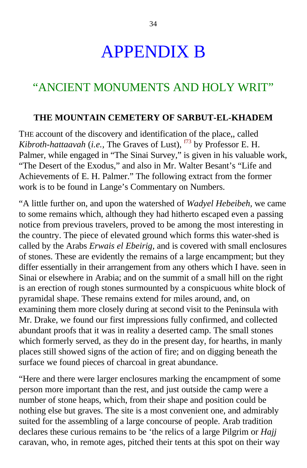# APPENDIX B

### <span id="page-32-0"></span>"ANCIENT MONUMENTS AND HOLY WRIT"

#### **THE MOUNTAIN CEMETERY OF SARBUT-EL-KHADEM**

THE account of the discovery and identification of the place,, called *Kibroth-hattaavah* (*i.e.*, The Graves of Lust),  $f^{73}$  by Professor E. H. Palmer, while engaged in "The Sinai Survey," is given in his valuable work, "The Desert of the Exodus," and also in Mr. Walter Besant's "Life and Achievements of E. H. Palmer." The following extract from the former work is to be found in Lange's Commentary on Numbers.

"A little further on, and upon the watershed of *Wadyel Hebeibeh,* we came to some remains which, although they had hitherto escaped even a passing notice from previous travelers, proved to be among the most interesting in the country. The piece of elevated ground which forms this water-shed is called by the Arabs *Erwais el Ebeirig,* and is covered with small enclosures of stones. These are evidently the remains of a large encampment; but they differ essentially in their arrangement from any others which I have. seen in Sinai or elsewhere in Arabia; and on the summit of a small hill on the right is an erection of rough stones surmounted by a conspicuous white block of pyramidal shape. These remains extend for miles around, and, on examining them more closely during at second visit to the Peninsula with Mr. Drake, we found our first impressions fully confirmed, and collected abundant proofs that it was in reality a deserted camp. The small stones which formerly served, as they do in the present day, for hearths, in manly places still showed signs of the action of fire; and on digging beneath the surface we found pieces of charcoal in great abundance.

"Here and there were larger enclosures marking the encampment of some person more important than the rest, and just outside the camp were a number of stone heaps, which, from their shape and position could be nothing else but graves. The site is a most convenient one, and admirably suited for the assembling of a large concourse of people. Arab tradition declares these curious remains to be 'the relics of a large Pilgrim or *Hajj* caravan, who, in remote ages, pitched their tents at this spot on their way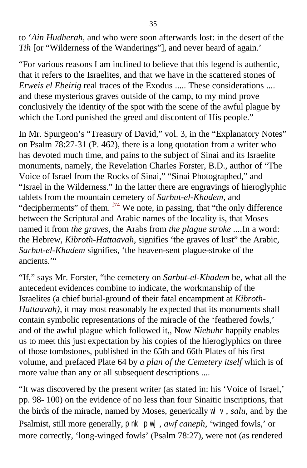<span id="page-33-0"></span>to '*Ain Hudherah,* and who were soon afterwards lost: in the desert of the *Tih* [or "Wilderness of the Wanderings"], and never heard of again.'

"For various reasons I am inclined to believe that this legend is authentic, that it refers to the Israelites, and that we have in the scattered stones of *Erweis el Ebeirig* real traces of the Exodus ..... These considerations .... and these mysterious graves outside of the camp, to my mind prove conclusively the identity of the spot with the scene of the awful plague by which the Lord punished the greed and discontent of His people."

In Mr. Spurgeon's "Treasury of David," vol. 3, in the "Explanatory Notes" on Psalm 78:27-31 (P. 462), there is a long quotation from a writer who has devoted much time, and pains to the subject of Sinai and its Israelite monuments, namely, the Revelation Charles Forster, B.D., author of "The Voice of Israel from the Rocks of Sinai," "Sinai Photographed," and "Israel in the Wilderness." In the latter there are engravings of hieroglyphic tablets from the mountain cemetery of *Sarbut-el-Khadem,* and "decipherments" of them.  $f<sup>74</sup>$  We note, in passing, that "the only difference" between the Scriptural and Arabic names of the locality is, that Moses named it from *the graves,* the Arabs from *the plague stroke ....*In a word: the Hebrew, *Kibroth-Hattaavah,* signifies 'the graves of lust" the Arabic, *Sarbut-el-Khadem* signifies, 'the heaven-sent plague-stroke of the ancients."

"If," says Mr. Forster, "the cemetery on *Sarbut-el-Khadem* be, what all the antecedent evidences combine to indicate, the workmanship of the Israelites (a chief burial-ground of their fatal encampment at *Kibroth-Hattaavah*), it may most reasonably be expected that its monuments shall contain symbolic representations of the miracle of the 'feathered fowls,' and of the awful plague which followed it,, Now *Niebuhr* happily enables us to meet this just expectation by his copies of the hieroglyphics on three of those tombstones, published in the 65th and 66th Plates of his first volume, and prefaced Plate 64 by *a plan of the Cemetery itself* which is of more value than any or all subsequent descriptions ....

"It was discovered by the present writer (as stated in: his 'Voice of Israel,' pp. 98- 100) on the evidence of no less than four Sinaitic inscriptions, that the birds of the miracle, named by Moses, generically  $W \vee$ , *salu*, and by the Psalmist, still more generally, pnk pw[, *awf caneph,* 'winged fowls,' or more correctly, 'long-winged fowls' (Psalm 78:27), were not (as rendered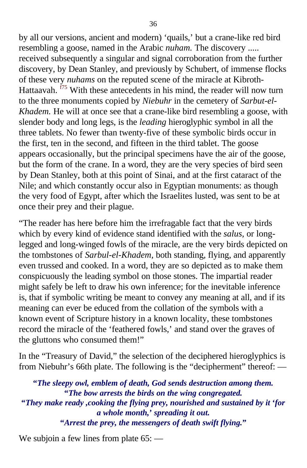<span id="page-34-0"></span>by all our versions, ancient and modern) 'quails,' but a crane-like red bird resembling a goose, named in the Arabic *nuham.* The discovery ..... received subsequently a singular and signal corroboration from the further discovery, by Dean Stanley, and previously by Schubert, of immense flocks of these very *nuhams* on the reputed scene of the miracle at Kibroth-Hattaavah.  $f^{75}$  With these antecedents in his mind, the reader will now turn to the three monuments copied by *Niebuhr* in the cemetery of *Sarbut-el-Khadem.* He will at once see that a crane-like bird resembling a goose, with slender body and long legs, is the *leading* hieroglyphic symbol in all the three tablets. No fewer than twenty-five of these symbolic birds occur in the first, ten in the second, and fifteen in the third tablet. The goose appears occasionally, but the principal specimens have the air of the goose, but the form of the crane. In a word, they are the very species of bird seen by Dean Stanley, both at this point of Sinai, and at the first cataract of the Nile; and which constantly occur also in Egyptian monuments: as though the very food of Egypt, after which the Israelites lusted, was sent to be at once their prey and their plague.

"The reader has here before him the irrefragable fact that the very birds which by every kind of evidence stand identified with the *salus,* or longlegged and long-winged fowls of the miracle, are the very birds depicted on the tombstones of *Sarbul-el-Khadem,* both standing, flying, and apparently even trussed and cooked. In a word, they are so depicted as to make them conspicuously the leading symbol on those stones. The impartial reader might safely be left to draw his own inference; for the inevitable inference is, that if symbolic writing be meant to convey any meaning at all, and if its meaning can ever be educed from the collation of the symbols with a known event of Scripture history in a known locality, these tombstones record the miracle of the 'feathered fowls,' and stand over the graves of the gluttons who consumed them!"

In the "Treasury of David," the selection of the deciphered hieroglyphics is from Niebuhr's 66th plate. The following is the "decipherment" thereof: —

**"***The sleepy owl, emblem of death, God sends destruction among them.* **"***The bow arrests the birds on the wing congregated.* **"***They make ready ,cooking the flying prey, nourished and sustained by it* **'***for a whole month,***'** *spreading it out.* **"***Arrest the prey, the messengers of death swift flying.***"**

We subjoin a few lines from plate 65: —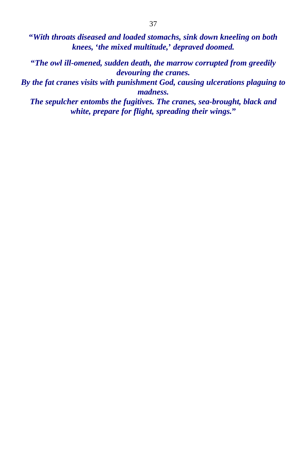**"***With throats diseased and loaded stomachs, sink down kneeling on both knees,* **'***the mixed multitude,***'** *depraved doomed.*

**"***The owl ill-omened, sudden death, the marrow corrupted from greedily devouring the cranes.*

*By the fat cranes visits with punishment God, causing ulcerations plaguing to madness.*

*The sepulcher entombs the fugitives. The cranes, sea-brought, black and white, prepare for flight, spreading their wings.***"**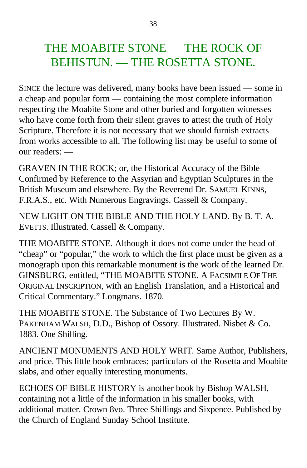### THE MOABITE STONE — THE ROCK OF BEHISTUN. — THE ROSETTA STONE.

SINCE the lecture was delivered, many books have been issued — some in a cheap and popular form — containing the most complete information respecting the Moabite Stone and other buried and forgotten witnesses who have come forth from their silent graves to attest the truth of Holy Scripture. Therefore it is not necessary that we should furnish extracts from works accessible to all. The following list may be useful to some of our readers: —

GRAVEN IN THE ROCK; or, the Historical Accuracy of the Bible Confirmed by Reference to the Assyrian and Egyptian Sculptures in the British Museum and elsewhere. By the Reverend Dr. SAMUEL KINNS, F.R.A.S., etc. With Numerous Engravings. Cassell & Company.

NEW LIGHT ON THE BIBLE AND THE HOLY LAND. By B. T. A. EVETTS. Illustrated. Cassell & Company.

THE MOABITE STONE. Although it does not come under the head of "cheap" or "popular," the work to which the first place must be given as a monograph upon this remarkable monument is the work of the learned Dr. GINSBURG, entitled, "THE MOABITE STONE. A FACSIMILE OF THE ORIGINAL INSCRIPTION, with an English Translation, and a Historical and Critical Commentary." Longmans. 1870.

THE MOABITE STONE. The Substance of Two Lectures By W. PAKENHAM WALSH, D.D., Bishop of Ossory. Illustrated. Nisbet & Co. 1883. One Shilling.

ANCIENT MONUMENTS AND HOLY WRIT. Same Author, Publishers, and price. This little book embraces; particulars of the Rosetta and Moabite slabs, and other equally interesting monuments.

ECHOES OF BIBLE HISTORY is another book by Bishop WALSH, containing not a little of the information in his smaller books, with additional matter. Crown 8vo. Three Shillings and Sixpence. Published by the Church of England Sunday School Institute.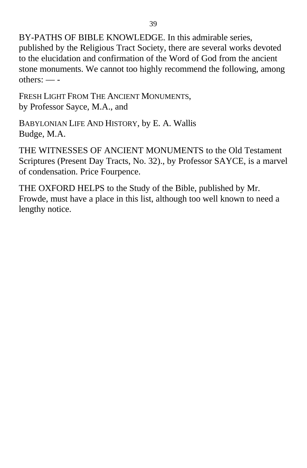BY-PATHS OF BIBLE KNOWLEDGE. In this admirable series, published by the Religious Tract Society, there are several works devoted to the elucidation and confirmation of the Word of God from the ancient stone monuments. We cannot too highly recommend the following, among others: — -

FRESH LIGHT FROM THE ANCIENT MONUMENTS, by Professor Sayce, M.A., and

BABYLONIAN LIFE AND HISTORY, by E. A. Wallis Budge, M.A.

THE WITNESSES OF ANCIENT MONUMENTS to the Old Testament Scriptures (Present Day Tracts, No. 32)., by Professor SAYCE, is a marvel of condensation. Price Fourpence.

THE OXFORD HELPS to the Study of the Bible, published by Mr. Frowde, must have a place in this list, although too well known to need a lengthy notice.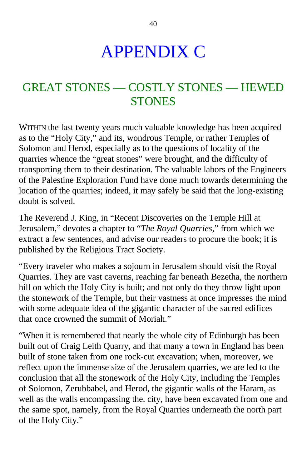# APPENDIX C

## GREAT STONES — COSTLY STONES — HEWED **STONES**

WITHIN the last twenty years much valuable knowledge has been acquired as to the "Holy City," and its, wondrous Temple, or rather Temples of Solomon and Herod, especially as to the questions of locality of the quarries whence the "great stones" were brought, and the difficulty of transporting them to their destination. The valuable labors of the Engineers of the Palestine Exploration Fund have done much towards determining the location of the quarries; indeed, it may safely be said that the long-existing doubt is solved.

The Reverend J. King, in "Recent Discoveries on the Temple Hill at Jerusalem," devotes a chapter to "*The Royal Quarries,*" from which we extract a few sentences, and advise our readers to procure the book; it is published by the Religious Tract Society.

"Every traveler who makes a sojourn in Jerusalem should visit the Royal Quarries. They are vast caverns, reaching far beneath Bezetha, the northern hill on which the Holy City is built; and not only do they throw light upon the stonework of the Temple, but their vastness at once impresses the mind with some adequate idea of the gigantic character of the sacred edifices that once crowned the summit of Moriah."

"When it is remembered that nearly the whole city of Edinburgh has been built out of Craig Leith Quarry, and that many a town in England has been built of stone taken from one rock-cut excavation; when, moreover, we reflect upon the immense size of the Jerusalem quarries, we are led to the conclusion that all the stonework of the Holy City, including the Temples of Solomon, Zerubbabel, and Herod, the gigantic walls of the Haram, as well as the walls encompassing the. city, have been excavated from one and the same spot, namely, from the Royal Quarries underneath the north part of the Holy City."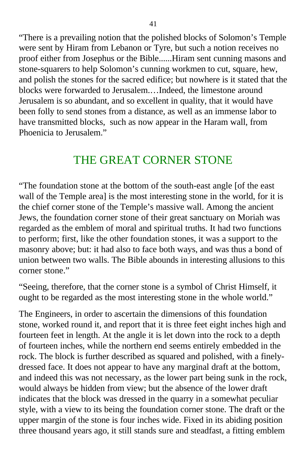"There is a prevailing notion that the polished blocks of Solomon's Temple were sent by Hiram from Lebanon or Tyre, but such a notion receives no proof either from Josephus or the Bible......Hiram sent cunning masons and stone-squarers to help Solomon's cunning workmen to cut, square, hew, and polish the stones for the sacred edifice; but nowhere is it stated that the blocks were forwarded to Jerusalem.…Indeed, the limestone around Jerusalem is so abundant, and so excellent in quality, that it would have been folly to send stones from a distance, as well as an immense labor to have transmitted blocks, such as now appear in the Haram wall, from Phoenicia to Jerusalem."

### THE GREAT CORNER STONE

"The foundation stone at the bottom of the south-east angle [of the east wall of the Temple areal is the most interesting stone in the world, for it is the chief corner stone of the Temple's massive wall. Among the ancient Jews, the foundation corner stone of their great sanctuary on Moriah was regarded as the emblem of moral and spiritual truths. It had two functions to perform; first, like the other foundation stones, it was a support to the masonry above; but: it had also to face both ways, and was thus a bond of union between two walls. The Bible abounds in interesting allusions to this corner stone."

"Seeing, therefore, that the corner stone is a symbol of Christ Himself, it ought to be regarded as the most interesting stone in the whole world."

The Engineers, in order to ascertain the dimensions of this foundation stone, worked round it, and report that it is three feet eight inches high and fourteen feet in length. At the angle it is let down into the rock to a depth of fourteen inches, while the northern end seems entirely embedded in the rock. The block is further described as squared and polished, with a finelydressed face. It does not appear to have any marginal draft at the bottom, and indeed this was not necessary, as the lower part being sunk in the rock, would always be hidden from view; but the absence of the lower draft indicates that the block was dressed in the quarry in a somewhat peculiar style, with a view to its being the foundation corner stone. The draft or the upper margin of the stone is four inches wide. Fixed in its abiding position three thousand years ago, it still stands sure and steadfast, a fitting emblem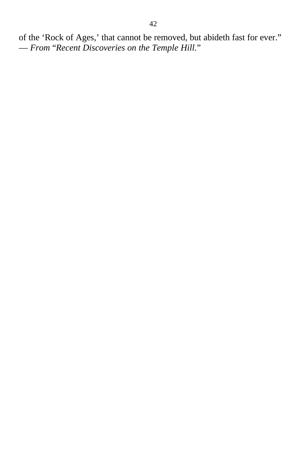of the 'Rock of Ages,' that cannot be removed, but abideth fast for ever." — *From* "*Recent Discoveries on the Temple Hill.*"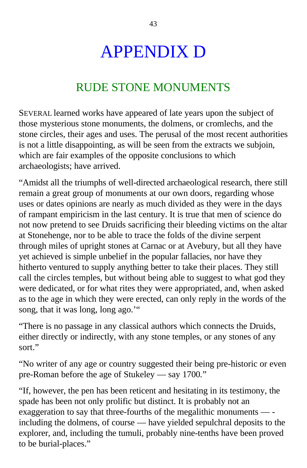# APPENDIX D

### RUDE STONE MONUMENTS

SEVERAL learned works have appeared of late years upon the subject of those mysterious stone monuments, the dolmens, or cromlechs, and the stone circles, their ages and uses. The perusal of the most recent authorities is not a little disappointing, as will be seen from the extracts we subjoin, which are fair examples of the opposite conclusions to which archaeologists; have arrived.

"Amidst all the triumphs of well-directed archaeological research, there still remain a great group of monuments at our own doors, regarding whose uses or dates opinions are nearly as much divided as they were in the days of rampant empiricism in the last century. It is true that men of science do not now pretend to see Druids sacrificing their bleeding victims on the altar at Stonehenge, nor to be able to trace the folds of the divine serpent through miles of upright stones at Carnac or at Avebury, but all they have yet achieved is simple unbelief in the popular fallacies, nor have they hitherto ventured to supply anything better to take their places. They still call the circles temples, but without being able to suggest to what god they were dedicated, or for what rites they were appropriated, and, when asked as to the age in which they were erected, can only reply in the words of the song, that it was long, long ago."

"There is no passage in any classical authors which connects the Druids, either directly or indirectly, with any stone temples, or any stones of any sort."

"No writer of any age or country suggested their being pre-historic or even pre-Roman before the age of Stukeley — say 1700*.*"

"If, however, the pen has been reticent and hesitating in its testimony, the spade has been not only prolific but distinct. It is probably not an exaggeration to say that three-fourths of the megalithic monuments — including the dolmens, of course — have yielded sepulchral deposits to the explorer, and, including the tumuli, probably nine-tenths have been proved to be burial-places."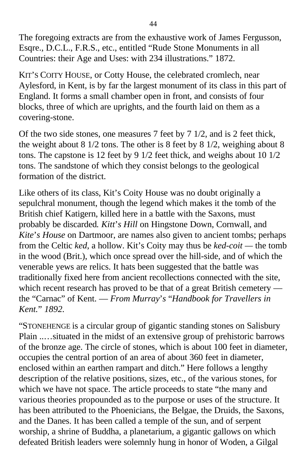The foregoing extracts are from the exhaustive work of James Fergusson, Esqre., D.C.L., F.R.S., etc., entitled "Rude Stone Monuments in all Countries: their Age and Uses: with 234 illustrations." 1872.

KIT'S COITY HOUSE, or Cotty House, the celebrated cromlech, near Aylesford, in Kent, is by far the largest monument of its class in this part of England. It forms a small chamber open in front, and consists of four blocks, three of which are uprights, and the fourth laid on them as a covering-stone.

Of the two side stones, one measures 7 feet by 7 1/2, and is 2 feet thick, the weight about 8 1/2 tons. The other is 8 feet by 8 1/2, weighing about 8 tons. The capstone is 12 feet by 9 1/2 feet thick, and weighs about 10 1/2 tons. The sandstone of which they consist belongs to the geological formation of the district.

Like others of its class, Kit's Coity House was no doubt originally a sepulchral monument, though the legend which makes it the tomb of the British chief Katigern, killed here in a battle with the Saxons, must probably be discarded*. Kitt*'*s Hill* on Hingstone Down, Cornwall, and *Kite*'*s House* on Dartmoor, are names also given to ancient tombs; perhaps from the Celtic *ked*, a hollow. Kit's Coity may thus be *ked-coit —* the tomb in the wood (Brit.), which once spread over the hill-side, and of which the venerable yews are relics. It hats been suggested that the battle was traditionally fixed here from ancient recollections connected with the site, which recent research has proved to be that of a great British cemetery the "Carnac" of Kent. — *From Murray*'*s* "*Handbook for Travellers in Kent.*" *1892.*

"STONEHENGE is a circular group of gigantic standing stones on Salisbury Plain ..…situated in the midst of an extensive group of prehistoric barrows of the bronze age. The circle of stones, which is about 100 feet in diameter, occupies the central portion of an area of about 360 feet in diameter, enclosed within an earthen rampart and ditch." Here follows a lengthy description of the relative positions, sizes, etc., of the various stones, for which we have not space. The article proceeds to state "the many and various theories propounded as to the purpose or uses of the structure. It has been attributed to the Phoenicians, the Belgae, the Druids, the Saxons, and the Danes. It has been called a temple of the sun, and of serpent worship, a shrine of Buddha, a planetarium, a gigantic gallows on which defeated British leaders were solemnly hung in honor of Woden, a Gilgal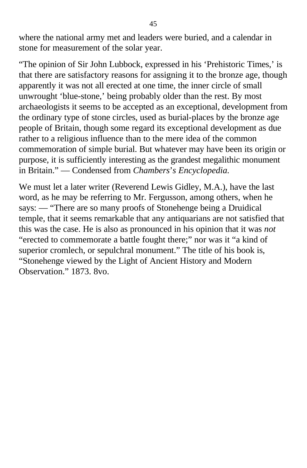where the national army met and leaders were buried, and a calendar in stone for measurement of the solar year.

"The opinion of Sir John Lubbock, expressed in his 'Prehistoric Times,' is that there are satisfactory reasons for assigning it to the bronze age, though apparently it was not all erected at one time, the inner circle of small unwrought 'blue-stone,' being probably older than the rest. By most archaeologists it seems to be accepted as an exceptional, development from the ordinary type of stone circles, used as burial-places by the bronze age people of Britain, though some regard its exceptional development as due rather to a religious influence than to the mere idea of the common commemoration of simple burial. But whatever may have been its origin or purpose, it is sufficiently interesting as the grandest megalithic monument in Britain." — Condensed from *Chambers*'*s Encyclopedia.*

We must let a later writer (Reverend Lewis Gidley, M.A.), have the last word, as he may be referring to Mr. Fergusson, among others, when he says: — "There are so many proofs of Stonehenge being a Druidical temple, that it seems remarkable that any antiquarians are not satisfied that this was the case. He is also as pronounced in his opinion that it was *not* "erected to commemorate a battle fought there;" nor was it "a kind of superior cromlech, or sepulchral monument." The title of his book is, "Stonehenge viewed by the Light of Ancient History and Modern Observation." 1873. 8vo.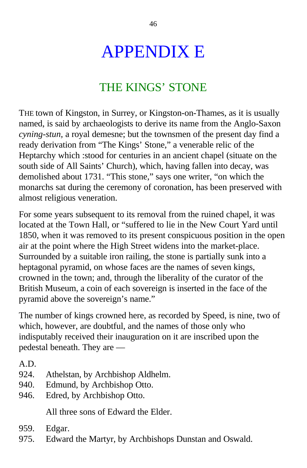# APPENDIX E

## THE KINGS' STONE

THE town of Kingston, in Surrey, or Kingston-on-Thames, as it is usually named, is said by archaeologists to derive its name from the Anglo-Saxon *cyning-stun,* a royal demesne; but the townsmen of the present day find a ready derivation from "The Kings' Stone," a venerable relic of the Heptarchy which :stood for centuries in an ancient chapel (situate on the south side of All Saints' Church), which, having fallen into decay, was demolished about 1731. "This stone," says one writer, "on which the monarchs sat during the ceremony of coronation, has been preserved with almost religious veneration.

For some years subsequent to its removal from the ruined chapel, it was located at the Town Hall, or "suffered to lie in the New Court Yard until 1850, when it was removed to its present conspicuous position in the open air at the point where the High Street widens into the market-place. Surrounded by a suitable iron railing, the stone is partially sunk into a heptagonal pyramid, on whose faces are the names of seven kings, crowned in the town; and, through the liberality of the curator of the British Museum, a coin of each sovereign is inserted in the face of the pyramid above the sovereign's name."

The number of kings crowned here, as recorded by Speed, is nine, two of which, however, are doubtful, and the names of those only who indisputably received their inauguration on it are inscribed upon the pedestal beneath. They are —

A.D.

- 924. Athelstan, by Archbishop Aldhelm.
- 940. Edmund, by Archbishop Otto.
- 946. Edred, by Archbishop Otto.

All three sons of Edward the Elder.

- 959. Edgar.
- 975. Edward the Martyr, by Archbishops Dunstan and Oswald.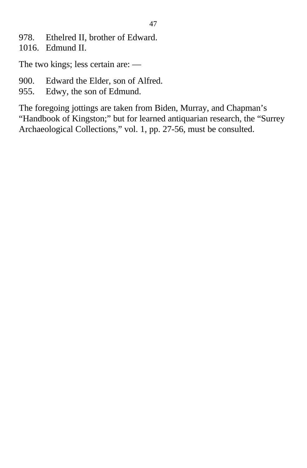- 978. Ethelred II, brother of Edward.
- 1016. Edmund II.

The two kings; less certain are: —

- 900. Edward the Elder, son of Alfred.
- 955. Edwy, the son of Edmund.

The foregoing jottings are taken from Biden, Murray, and Chapman's "Handbook of Kingston;" but for learned antiquarian research, the "Surrey Archaeological Collections," vol. 1, pp. 27-56, must be consulted.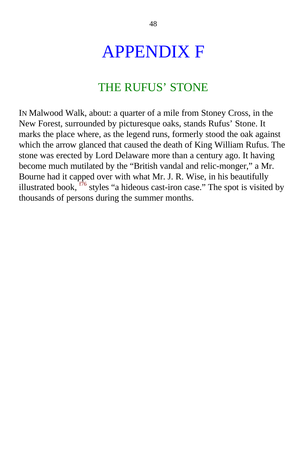# <span id="page-46-0"></span>APPENDIX F

### THE RUFUS' STONE

IN Malwood Walk, about: a quarter of a mile from Stoney Cross, in the New Forest, surrounded by picturesque oaks, stands Rufus' Stone. It marks the place where, as the legend runs, formerly stood the oak against which the arrow glanced that caused the death of King William Rufus. The stone was erected by Lord Delaware more than a century ago. It having become much mutilated by the "British vandal and relic-monger," a Mr. Bourne had it capped over with what Mr. J. R. Wise, in his beautifully illustrated book,  $\frac{176}{6}$  styles "a hideous cast-iron case." The spot is visited by thousands of persons during the summer months.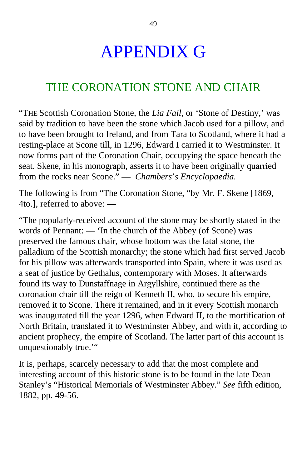# APPENDIX G

### THE CORONATION STONE AND CHAIR

"THE Scottish Coronation Stone, the *Lia Fail,* or 'Stone of Destiny,' was said by tradition to have been the stone which Jacob used for a pillow, and to have been brought to Ireland, and from Tara to Scotland, where it had a resting-place at Scone till, in 1296, Edward I carried it to Westminster. It now forms part of the Coronation Chair, occupying the space beneath the seat. Skene, in his monograph, asserts it to have been originally quarried from the rocks near Scone." — *Chambers*'*s Encyclopaedia.*

The following is from "The Coronation Stone, "by Mr. F. Skene [1869, 4to.], referred to above: —

"The popularly-received account of the stone may be shortly stated in the words of Pennant: — 'In the church of the Abbey (of Scone) was preserved the famous chair, whose bottom was the fatal stone, the palladium of the Scottish monarchy; the stone which had first served Jacob for his pillow was afterwards transported into Spain, where it was used as a seat of justice by Gethalus, contemporary with Moses. It afterwards found its way to Dunstaffnage in Argyllshire, continued there as the coronation chair till the reign of Kenneth II, who, to secure his empire, removed it to Scone. There it remained, and in it every Scottish monarch was inaugurated till the year 1296, when Edward II, to the mortification of North Britain, translated it to Westminster Abbey, and with it, according to ancient prophecy, the empire of Scotland. The latter part of this account is unquestionably true.'"

It is, perhaps, scarcely necessary to add that the most complete and interesting account of this historic stone is to be found in the late Dean Stanley's "Historical Memorials of Westminster Abbey." *See* fifth edition, 1882, pp. 49-56.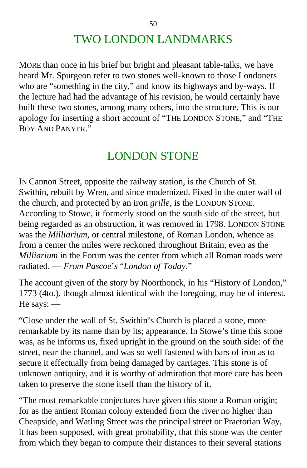## TWO LONDON LANDMARKS

MORE than once in his brief but bright and pleasant table-talks, we have heard Mr. Spurgeon refer to two stones well-known to those Londoners who are "something in the city," and know its highways and by-ways. If the lecture had had the advantage of his revision, he would certainly have built these two stones, among many others, into the structure. This is our apology for inserting a short account of "THE LONDON STONE," and "THE BOY AND PANYER."

### LONDON STONE

IN Cannon Street, opposite the railway station, is the Church of St. Swithin, rebuilt by Wren, and since modernized. Fixed in the outer wall of the church, and protected by an iron *grille,* is the LONDON STONE. According to Stowe, it formerly stood on the south side of the street, but being regarded as an obstruction, it was removed in 1798. LONDON STONE was the *Milliarium,* or central milestone, of Roman London, whence as from a center the miles were reckoned throughout Britain, even as the *Milliarium* in the Forum was the center from which all Roman roads were radiated. — *From Pascoe*'*s* "*London of Today.*"

The account given of the story by Noorthonck, in his "History of London," 1773 (4to.), though almost identical with the foregoing, may be of interest. He says: —

"Close under the wall of St. Swithin's Church is placed a stone, more remarkable by its name than by its; appearance. In Stowe's time this stone was, as he informs us, fixed upright in the ground on the south side: of the street, near the channel, and was so well fastened with bars of iron as to secure it effectually from being damaged by carriages. This stone is of unknown antiquity, and it is worthy of admiration that more care has been taken to preserve the stone itself than the history of it.

"The most remarkable conjectures have given this stone a Roman origin; for as the antient Roman colony extended from the river no higher than Cheapside, and Watling Street was the principal street or Praetorian Way, it has been supposed, with great probability, that this stone was the center from which they began to compute their distances to their several stations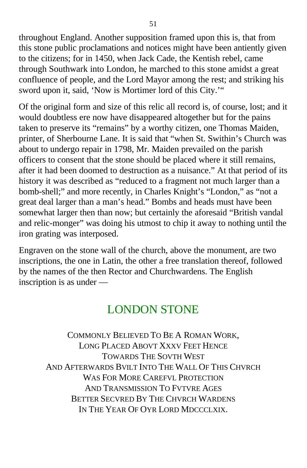throughout England. Another supposition framed upon this is, that from this stone public proclamations and notices might have been antiently given to the citizens; for in 1450, when Jack Cade, the Kentish rebel, came through Southwark into London, he marched to this stone amidst a great confluence of people, and the Lord Mayor among the rest; and striking his sword upon it, said, 'Now is Mortimer lord of this City.'"

Of the original form and size of this relic all record is, of course, lost; and it would doubtless ere now have disappeared altogether but for the pains taken to preserve its "remains" by a worthy citizen, one Thomas Maiden, printer, of Sherbourne Lane. It is said that "when St. Swithin's Church was about to undergo repair in 1798, Mr. Maiden prevailed on the parish officers to consent that the stone should be placed where it still remains, after it had been doomed to destruction as a nuisance." At that period of its history it was described as "reduced to a fragment not much larger than a bomb-shell;" and more recently, in Charles Knight's "London," as "not a great deal larger than a man's head." Bombs and heads must have been somewhat larger then than now; but certainly the aforesaid "British vandal and relic-monger" was doing his utmost to chip it away to nothing until the iron grating was interposed.

Engraven on the stone wall of the church, above the monument, are two inscriptions, the one in Latin, the other a free translation thereof, followed by the names of the then Rector and Churchwardens. The English inscription is as under —

### LONDON STONE

COMMONLY BELIEVED TO BE A ROMAN WORK, LONG PLACED ABOVT XXXV FEET HENCE TOWARDS THE SOVTH WEST AND AFTERWARDS BVILT INTO THE WALL OF THIS CHVRCH WAS FOR MORE CAREFVL PROTECTION AND TRANSMISSION TO FVTVRE AGES BETTER SECVRED BY THE CHVRCH WARDENS IN THE YEAR OF OYR LORD MDCCCLXIX.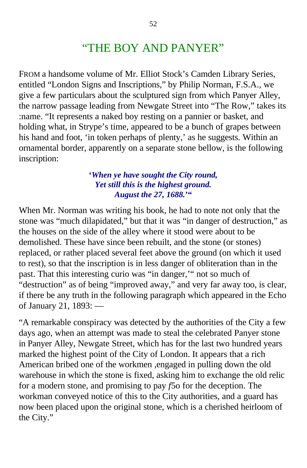### "THE BOY AND PANYER"

FROM a handsome volume of Mr. Elliot Stock's Camden Library Series, entitled "London Signs and Inscriptions," by Philip Norman, F.S.A., we give a few particulars about the sculptured sign from which Panyer Alley, the narrow passage leading from Newgate Street into "The Row," takes its :name. "It represents a naked boy resting on a pannier or basket, and holding what, in Strype's time, appeared to be a bunch of grapes between his hand and foot, 'in token perhaps of plenty,' as he suggests. Within an ornamental border, apparently on a separate stone bellow, is the following inscription:

#### **'***When ye have sought the City round, Yet still this is the highest ground. August the 27, 1688.***'"**

When Mr. Norman was writing his book, he had to note not only that the stone was "much dilapidated," but that it was "in danger of destruction," as the houses on the side of the alley where it stood were about to be demolished. These have since been rebuilt, and the stone (or stones) replaced, or rather placed several feet above the ground (on which it used to rest), so that the inscription is in less danger of obliteration than in the past. That this interesting curio was "in danger,'" not so much of "destruction" as of being "improved away," and very far away too, is clear, if there be any truth in the following paragraph which appeared in the Echo of January 21, 1893: —

"A remarkable conspiracy was detected by the authorities of the City a few days ago, when an attempt was made to steal the celebrated Panyer stone in Panyer Alley, Newgate Street, which has for the last two hundred years marked the highest point of the City of London. It appears that a rich American bribed one of the workmen ,engaged in pulling down the old warehouse in which the stone is fixed, asking him to exchange the old relic for a modern stone, and promising to pay *f*5o for the deception. The workman conveyed notice of this to the City authorities, and a guard has now been placed upon the original stone, which is a cherished heirloom of the City."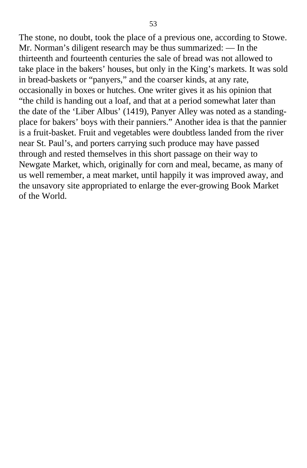The stone, no doubt, took the place of a previous one, according to Stowe. Mr. Norman's diligent research may be thus summarized: — In the thirteenth and fourteenth centuries the sale of bread was not allowed to take place in the bakers' houses, but only in the King's markets. It was sold in bread-baskets or "panyers," and the coarser kinds, at any rate, occasionally in boxes or hutches. One writer gives it as his opinion that "the child is handing out a loaf, and that at a period somewhat later than the date of the 'Liber Albus' (1419), Panyer Alley was noted as a standingplace for bakers' boys with their panniers." Another idea is that the pannier is a fruit-basket. Fruit and vegetables were doubtless landed from the river near St. Paul's, and porters carrying such produce may have passed through and rested themselves in this short passage on their way to Newgate Market, which, originally for corn and meal, became, as many of us well remember, a meat market, until happily it was improved away, and the unsavory site appropriated to enlarge the ever-growing Book Market of the World.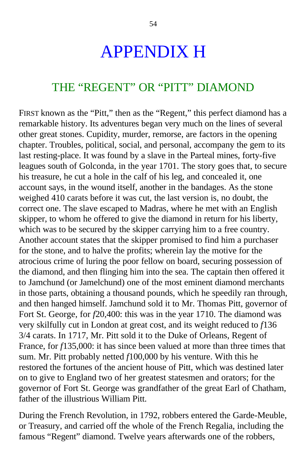## APPENDIX H

#### THE "REGENT" OR "PITT" DIAMOND

FIRST known as the "Pitt," then as the "Regent," this perfect diamond has a remarkable history. Its adventures began very much on the lines of several other great stones. Cupidity, murder, remorse, are factors in the opening chapter. Troubles, political, social, and personal, accompany the gem to its last resting-place. It was found by a slave in the Parteal mines, forty-five leagues south of Golconda, in the year 1701. The story goes that, to secure his treasure, he cut a hole in the calf of his leg, and concealed it, one account says, in the wound itself, another in the bandages. As the stone weighed 410 carats before it was cut, the last version is, no doubt, the correct one. The slave escaped to Madras, where he met with an English skipper, to whom he offered to give the diamond in return for his liberty, which was to be secured by the skipper carrying him to a free country. Another account states that the skipper promised to find him a purchaser for the stone, and to halve the profits; wherein lay the motive for the atrocious crime of luring the poor fellow on board, securing possession of the diamond, and then flinging him into the sea. The captain then offered it to Jamchund (or Jamelchund) one of the most eminent diamond merchants in those parts, obtaining a thousand pounds, which he speedily ran through, and then hanged himself. Jamchund sold it to Mr. Thomas Pitt, governor of Fort St. George, for *f*20,400: this was in the year 1710. The diamond was very skilfully cut in London at great cost, and its weight reduced to *f*136 3/4 carats. In 1717*,* Mr. Pitt sold it to the Duke of Orleans, Regent of France, for *f*135,000: it has since been valued at more than three times that sum. Mr. Pitt probably netted *f*100,000 by his venture. With this he restored the fortunes of the ancient house of Pitt, which was destined later on to give to England two of her greatest statesmen and orators; for the governor of Fort St. George was grandfather of the great Earl of Chatham, father of the illustrious William Pitt.

During the French Revolution, in 1792, robbers entered the Garde-Meuble, or Treasury, and carried off the whole of the French Regalia, including the famous "Regent" diamond. Twelve years afterwards one of the robbers,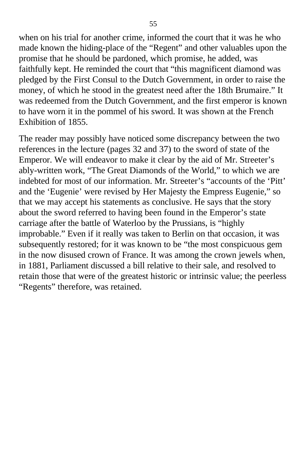when on his trial for another crime, informed the court that it was he who made known the hiding-place of the "Regent" and other valuables upon the promise that he should be pardoned, which promise, he added, was faithfully kept. He reminded the court that "this magnificent diamond was pledged by the First Consul to the Dutch Government, in order to raise the money, of which he stood in the greatest need after the 18th Brumaire." It was redeemed from the Dutch Government, and the first emperor is known to have worn it in the pommel of his sword. It was shown at the French Exhibition of 1855.

The reader may possibly have noticed some discrepancy between the two references in the lecture (pages 32 and 37) to the sword of state of the Emperor. We will endeavor to make it clear by the aid of Mr. Streeter's ably-written work, "The Great Diamonds of the World," to which we are indebted for most of our information. Mr. Streeter's "accounts of the 'Pitt' and the 'Eugenie' were revised by Her Majesty the Empress Eugenie," so that we may accept his statements as conclusive. He says that the story about the sword referred to having been found in the Emperor's state carriage after the battle of Waterloo by the Prussians, is "highly improbable." Even if it really was taken to Berlin on that occasion, it was subsequently restored; for it was known to be "the most conspicuous gem in the now disused crown of France. It was among the crown jewels when, in 1881, Parliament discussed a bill relative to their sale, and resolved to retain those that were of the greatest historic or intrinsic value; the peerless "Regents" therefore, was retained.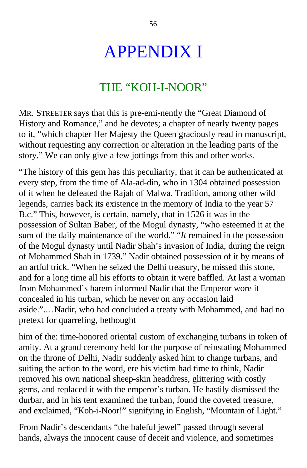# APPENDIX I

### THE "KOH-I-NOOR"

MR. STREETER says that this is pre-emi-nently the "Great Diamond of History and Romance," and he devotes; a chapter of nearly twenty pages to it, "which chapter Her Majesty the Queen graciously read in manuscript, without requesting any correction or alteration in the leading parts of the story." We can only give a few jottings from this and other works.

"The history of this gem has this peculiarity, that it can be authenticated at every step, from the time of Ala-ad-din, who in 1304 obtained possession of it when he defeated the Rajah of Malwa. Tradition, among other wild legends, carries back its existence in the memory of India to the year 57 B.c." This, however, is certain, namely, that in 1526 it was in the possession of Sultan Baber, of the Mogul dynasty, "who esteemed it at the sum of the daily maintenance of the world." "*It* remained in the possession of the Mogul dynasty until Nadir Shah's invasion of India, during the reign of Mohammed Shah in 1739." Nadir obtained possession of it by means of an artful trick. "When he seized the Delhi treasury, he missed this stone, and for a long time all his efforts to obtain it were baffled. At last a woman from Mohammed's harem informed Nadir that the Emperor wore it concealed in his turban, which he never on any occasion laid aside.".…Nadir, who had concluded a treaty with Mohammed, and had no pretext for quarreling, bethought

him of the: time-honored oriental custom of exchanging turbans in token of amity. At a grand ceremony held for the purpose of reinstating Mohammed on the throne of Delhi, Nadir suddenly asked him to change turbans, and suiting the action to the word, ere his victim had time to think, Nadir removed his own national sheep-skin headdress, glittering with costly gems, and replaced it with the emperor's turban. He hastily dismissed the durbar, and in his tent examined the turban, found the coveted treasure, and exclaimed, "Koh-i-Noor!" signifying in English, "Mountain of Light."

From Nadir's descendants "the baleful jewel" passed through several hands, always the innocent cause of deceit and violence, and sometimes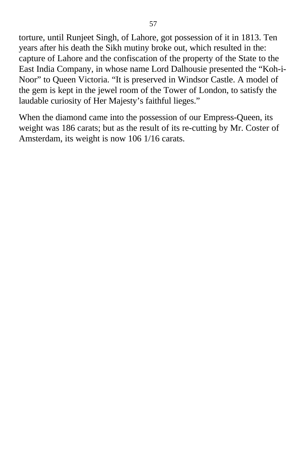torture, until Runjeet Singh, of Lahore, got possession of it in 1813. Ten years after his death the Sikh mutiny broke out, which resulted in the: capture of Lahore and the confiscation of the property of the State to the East India Company, in whose name Lord Dalhousie presented the "Koh*-*i-Noor" to Queen Victoria. "It is preserved in Windsor Castle. A model of the gem is kept in the jewel room of the Tower of London, to satisfy the laudable curiosity of Her Majesty's faithful lieges."

When the diamond came into the possession of our Empress-Queen, its weight was 186 carats; but as the result of its re-cutting by Mr. Coster of Amsterdam, its weight is now 106 1/16 carats.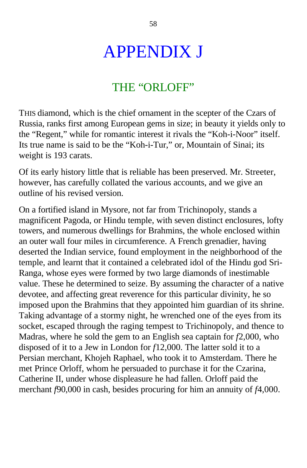# APPENDIX J

### THE "ORLOFF"

THIS diamond, which is the chief ornament in the scepter of the Czars of Russia, ranks first among European gems in size; in beauty it yields only to the "Regent," while for romantic interest it rivals the "Koh-i-Noor" itself. Its true name is said to be the "Koh-i-Tur," or, Mountain of Sinai; its weight is 193 carats.

Of its early history little that is reliable has been preserved. Mr. Streeter, however, has carefully collated the various accounts, and we give an outline of his revised version.

On a fortified island in Mysore, not far from Trichinopoly, stands a magnificent Pagoda, or Hindu temple, with seven distinct enclosures, lofty towers, and numerous dwellings for Brahmins, the whole enclosed within an outer wall four miles in circumference. A French grenadier, having deserted the Indian service, found employment in the neighborhood of the temple, and learnt that it contained a celebrated idol of the Hindu god Sri-Ranga, whose eyes were formed by two large diamonds of inestimable value. These he determined to seize. By assuming the character of a native devotee, and affecting great reverence for this particular divinity, he so imposed upon the Brahmins that they appointed him guardian of its shrine. Taking advantage of a stormy night, he wrenched one of the eyes from its socket, escaped through the raging tempest to Trichinopoly, and thence to Madras, where he sold the gem to an English sea captain for *f*2,000, who disposed of it to a Jew in London for *f*12,000. The latter sold it to a Persian merchant, Khojeh Raphael, who took it to Amsterdam. There he met Prince Orloff, whom he persuaded to purchase it for the Czarina, Catherine II, under whose displeasure he had fallen. Orloff paid the merchant *f*90,000 in cash, besides procuring for him an annuity of *f*4,000.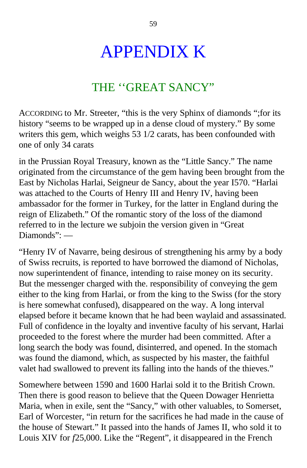# APPENDIX K

### THE ''GREAT SANCY"

ACCORDING to Mr. Streeter, "this is the very Sphinx of diamonds ";for its history "seems to be wrapped up in a dense cloud of mystery." By some writers this gem, which weighs 53 1/2 carats, has been confounded with one of only 34 carats

in the Prussian Royal Treasury, known as the "Little Sancy." The name originated from the circumstance of the gem having been brought from the East by Nicholas Harlai, Seigneur de Sancy, about the year I570. "Harlai was attached to the Courts of Henry III and Henry IV, having been ambassador for the former in Turkey, for the latter in England during the reign of Elizabeth." Of the romantic story of the loss of the diamond referred to in the lecture we subjoin the version given in "Great Diamonds": —

"Henry IV of Navarre, being desirous of strengthening his army by a body of Swiss recruits, is reported to have borrowed the diamond of Nicholas, now superintendent of finance, intending to raise money on its security. But the messenger charged with the. responsibility of conveying the gem either to the king from Harlai, or from the king to the Swiss (for the story is here somewhat confused), disappeared on the way. A long interval elapsed before it became known that he had been waylaid and assassinated. Full of confidence in the loyalty and inventive faculty of his servant, Harlai proceeded to the forest where the murder had been committed. After a long search the body was found, disinterred, and opened. In the stomach was found the diamond, which, as suspected by his master, the faithful valet had swallowed to prevent its falling into the hands of the thieves."

Somewhere between 1590 and 1600 Harlai sold it to the British Crown. Then there is good reason to believe that the Queen Dowager Henrietta Maria, when in exile, sent the "Sancy," with other valuables, to Somerset, Earl of Worcester, "in return for the sacrifices he had made in the cause of the house of Stewart." It passed into the hands of James II, who sold it to Louis XIV for *f*25,000. Like the "Regent", it disappeared in the French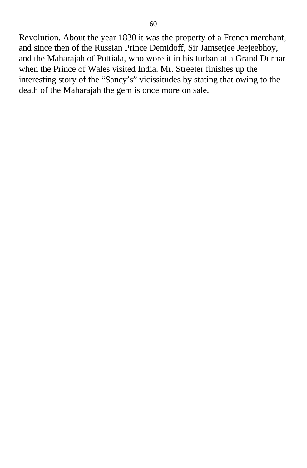Revolution. About the year 1830 it was the property of a French merchant, and since then of the Russian Prince Demidoff, Sir Jamsetjee Jeejeebhoy, and the Maharajah of Puttiala, who wore it in his turban at a Grand Durbar when the Prince of Wales visited India. Mr. Streeter finishes up the interesting story of the "Sancy's" vicissitudes by stating that owing to the death of the Maharajah the gem is once more on sale.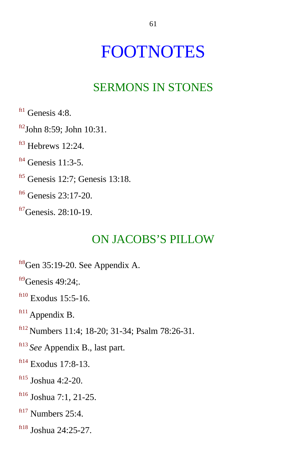## <span id="page-59-0"></span>FOOTNOTES

### SERMONS IN STONES

 $ft1$  Genesis 4:8.

- $ft2$ John 8:59; John 10:31.
- $<sup>ft3</sup>$  $<sup>ft3</sup>$  $<sup>ft3</sup>$  Hebrews 12:24.</sup>
- $<sup>ft4</sup>$  $<sup>ft4</sup>$  $<sup>ft4</sup>$  Genesis 11:3-5.</sup>
- [ft5](#page-7-0) Genesis 12:7; Genesis 13:18.
- $<sup>ft6</sup>$  $<sup>ft6</sup>$  $<sup>ft6</sup>$  Genesis 23:17-20.</sup>
- $\frac{ft7}{G}$  $\frac{ft7}{G}$  $\frac{ft7}{G}$ Genesis. 28:10-19.

#### ON JACOBS'S PILLOW

- $f$ <sup>tt8</sup>Gen 35:19-20. See Appendix A.
- $f<sup>f19</sup>$ Genesis 49:24:
- $f<sup>ft10</sup>$  $f<sup>ft10</sup>$  $f<sup>ft10</sup>$  Exodus 15:5-16.
- f<sup>t11</sup> Appendix B.
- [ft12](#page-9-0) Numbers 11:4; 18-20; 31-34; Psalm 78:26-31.
- [ft13](#page-9-0) *See* Appendix B., last part.
- $ft14$  Exodus 17:8-13.
- [ft15](#page-10-0) Joshua 4:2-20.
- [ft16](#page-11-0) Joshua 7:1, 21-25.
- $ft17$  Numbers 25:4.
- [ft18](#page-11-0) Joshua 24:25-27.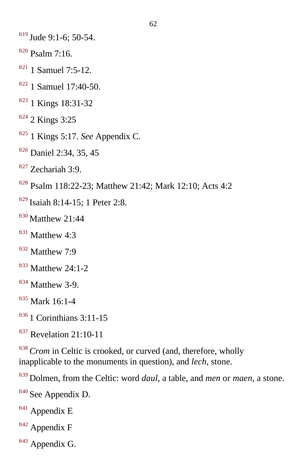- <span id="page-60-0"></span> $f<sup>ft19</sup>$  $f<sup>ft19</sup>$  $f<sup>ft19</sup>$  Jude 9:1-6; 50-54.
- $ft20$  Psalm 7:16.
- $ft21$  1 Samuel 7:5-12.
- $ft22$  1 Samuel 17:40-50.
- [ft23](#page-13-0) 1 Kings 18:31-32
- $ft24$  2 Kings 3:25
- [ft25](#page-13-0) 1 Kings 5:17. *See* Appendix C.
- $f126}$  Daniel 2:34, 35, 45
- $ft27$  Zechariah 3:9.
- [ft28](#page-13-0) Psalm 118:22-23; Matthew 21:42; Mark 12:10; Acts 4:2
- $f(t29)$  Isaiah 8:14-15; 1 Peter 2:8.
- $f<sup>f130</sup>$  Matthew 21:44
- $ft31$  Matthew 4:3
- ft<sup>32</sup> Matthew 7:9
- $ft33$  Matthew 24:1-2
- $ft34$  Matthew 3-9.
- [ft35](#page-14-0) Mark 16:1-4
- $f<sup>tf36</sup>$  1 Corinthians 3:11-15
- $f<sup>tf37</sup>$  Revelation 21:10-11

[ft38](#page-15-0)*Crom* in Celtic is crooked, or curved (and, therefore, wholly inapplicable to the monuments in question), and *lech,* stone.

- [ft39](#page-15-0) Dolmen, from the Celtic: word *daul,* a table, and *men* or *maen,* a stone.
- [ft40](#page-15-0) See Appendix D.
- $ft41$  Appendix E
- $ft42$  Appendix F
- [ft43](#page-15-0) Appendix G.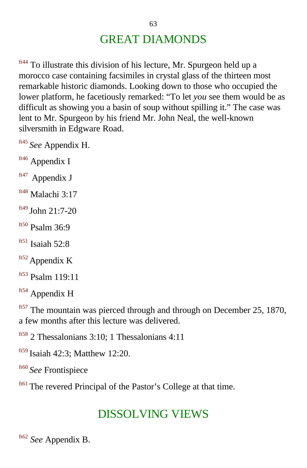## GREAT DIAMONDS

<span id="page-61-0"></span>ft<sup>44</sup> To illustrate this division of his lecture, Mr. Spurgeon held up a morocco case containing facsimiles in crystal glass of the thirteen most remarkable historic diamonds. Looking down to those who occupied the lower platform, he facetiously remarked: "To let *you* see them would be as difficult as showing you a basin of soup without spilling it." The case was lent to Mr. Spurgeon by his friend Mr. John Neal, the well-known silversmith in Edgware Road.

[ft45](#page-16-0) *See* Appendix H.

[ft46](#page-16-0) Appendix I

 $ft47$  Appendix J

- [ft48](#page-16-0) Malachi 3:17
- [ft49](#page-16-0) John 21:7-20
- $f<sup>ft50</sup>$  Psalm 36:9
- $ft51$  Isaiah 52:8

ft<sup>52</sup> Appendix K

[ft53](#page-18-0) Psalm 119:11

ft<sup>54</sup> Appendix H

[ft57](#page-20-0) The mountain was pierced through and through on December 25, 1870, a few months after this lecture was delivered.

[ft58](#page-22-0) 2 Thessalonians 3:10; 1 Thessalonians 4:11

[ft59](#page-23-0) Isaiah 42:3; Matthew 12:20.

[ft60](#page-23-0) *See* Frontispiece

ft<sup>61</sup> The revered Principal of the Pastor's College at that time.

#### DISSOLVING VIEWS

[ft62](#page-29-0) *See* Appendix B.